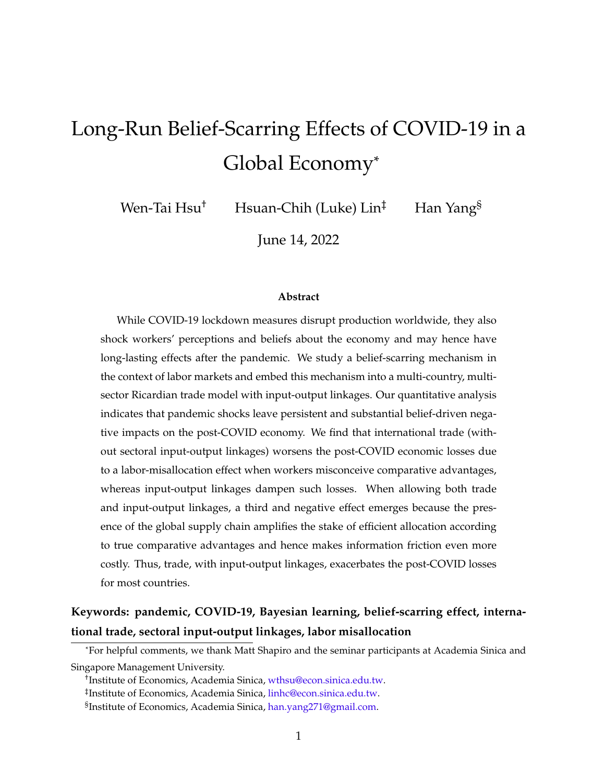# Long-Run Belief-Scarring Effects of COVID-19 in a Global Economy\*

Wen-Tai Hsu<sup>†</sup> Hsuan-Chih (Luke) Lin<sup>‡</sup> Han Yang<sup>§</sup>

June 14, 2022

#### **Abstract**

While COVID-19 lockdown measures disrupt production worldwide, they also shock workers' perceptions and beliefs about the economy and may hence have long-lasting effects after the pandemic. We study a belief-scarring mechanism in the context of labor markets and embed this mechanism into a multi-country, multisector Ricardian trade model with input-output linkages. Our quantitative analysis indicates that pandemic shocks leave persistent and substantial belief-driven negative impacts on the post-COVID economy. We find that international trade (without sectoral input-output linkages) worsens the post-COVID economic losses due to a labor-misallocation effect when workers misconceive comparative advantages, whereas input-output linkages dampen such losses. When allowing both trade and input-output linkages, a third and negative effect emerges because the presence of the global supply chain amplifies the stake of efficient allocation according to true comparative advantages and hence makes information friction even more costly. Thus, trade, with input-output linkages, exacerbates the post-COVID losses for most countries.

### **Keywords: pandemic, COVID-19, Bayesian learning, belief-scarring effect, international trade, sectoral input-output linkages, labor misallocation**

<sup>\*</sup>For helpful comments, we thank Matt Shapiro and the seminar participants at Academia Sinica and Singapore Management University.

<sup>†</sup> Institute of Economics, Academia Sinica, [wthsu@econ.sinica.edu.tw.](mailto:wthsu@econ.sinica.edu.tw)

<sup>‡</sup> Institute of Economics, Academia Sinica, [linhc@econ.sinica.edu.tw](mailto:linhc@econ.sinica.edu.tw).

<sup>§</sup> Institute of Economics, Academia Sinica, [han.yang271@gmail.com.](mailto:han.yang271@gmail.com)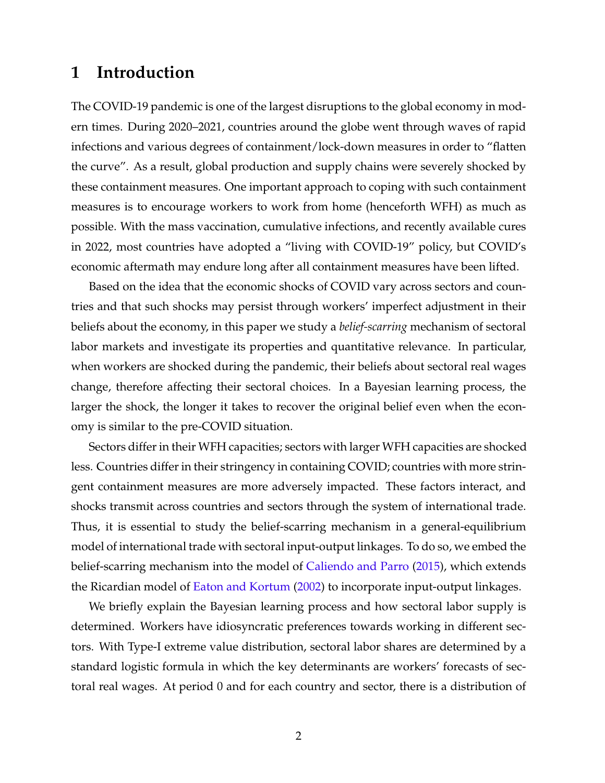### **1 Introduction**

The COVID-19 pandemic is one of the largest disruptions to the global economy in modern times. During 2020–2021, countries around the globe went through waves of rapid infections and various degrees of containment/lock-down measures in order to "flatten the curve". As a result, global production and supply chains were severely shocked by these containment measures. One important approach to coping with such containment measures is to encourage workers to work from home (henceforth WFH) as much as possible. With the mass vaccination, cumulative infections, and recently available cures in 2022, most countries have adopted a "living with COVID-19" policy, but COVID's economic aftermath may endure long after all containment measures have been lifted.

Based on the idea that the economic shocks of COVID vary across sectors and countries and that such shocks may persist through workers' imperfect adjustment in their beliefs about the economy, in this paper we study a *belief-scarring* mechanism of sectoral labor markets and investigate its properties and quantitative relevance. In particular, when workers are shocked during the pandemic, their beliefs about sectoral real wages change, therefore affecting their sectoral choices. In a Bayesian learning process, the larger the shock, the longer it takes to recover the original belief even when the economy is similar to the pre-COVID situation.

Sectors differ in their WFH capacities; sectors with larger WFH capacities are shocked less. Countries differ in their stringency in containing COVID; countries with more stringent containment measures are more adversely impacted. These factors interact, and shocks transmit across countries and sectors through the system of international trade. Thus, it is essential to study the belief-scarring mechanism in a general-equilibrium model of international trade with sectoral input-output linkages. To do so, we embed the belief-scarring mechanism into the model of [Caliendo and Parro](#page-35-0) [\(2015](#page-35-0)), which extends the Ricardian model of [Eaton and Kortum](#page-36-0) [\(2002\)](#page-36-0) to incorporate input-output linkages.

We briefly explain the Bayesian learning process and how sectoral labor supply is determined. Workers have idiosyncratic preferences towards working in different sectors. With Type-I extreme value distribution, sectoral labor shares are determined by a standard logistic formula in which the key determinants are workers' forecasts of sectoral real wages. At period 0 and for each country and sector, there is a distribution of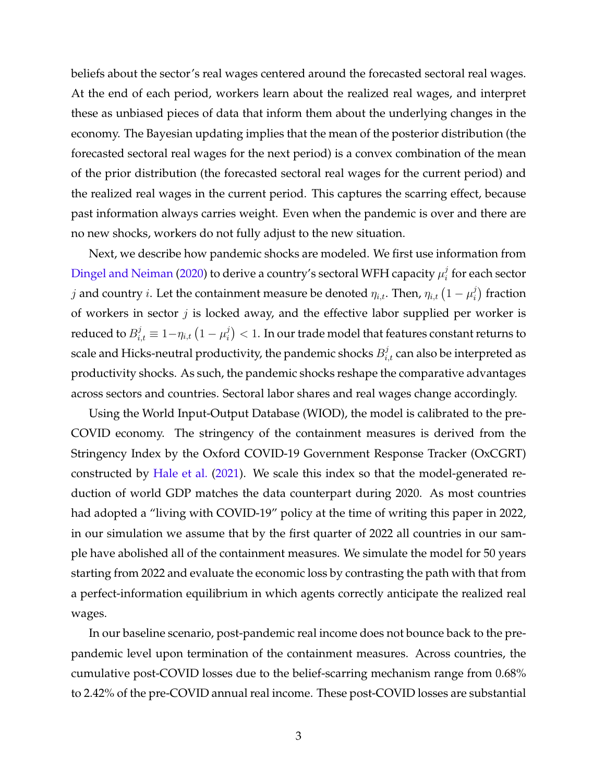beliefs about the sector's real wages centered around the forecasted sectoral real wages. At the end of each period, workers learn about the realized real wages, and interpret these as unbiased pieces of data that inform them about the underlying changes in the economy. The Bayesian updating implies that the mean of the posterior distribution (the forecasted sectoral real wages for the next period) is a convex combination of the mean of the prior distribution (the forecasted sectoral real wages for the current period) and the realized real wages in the current period. This captures the scarring effect, because past information always carries weight. Even when the pandemic is over and there are no new shocks, workers do not fully adjust to the new situation.

Next, we describe how pandemic shocks are modeled. We first use information from [Dingel and Neiman](#page-35-1) [\(2020\)](#page-35-1) to derive a country's sectoral WFH capacity  $\mu_i^j$  $\frac{\partial}{\partial i}$  for each sector  $j$  and country  $i$ . Let the containment measure be denoted  $\eta_{i,t}.$  Then,  $\eta_{i,t}$   $\left(1-\mu_{i}^{j}\right)$  $i$ <sup>*j*</sup>) fraction of workers in sector *j* is locked away, and the effective labor supplied per worker is reduced to  $B_{i,t}^j \equiv 1 - \eta_{i,t} \left( 1 - \mu_i^j \right)$  $\binom{d}{i} < 1.$  In our trade model that features constant returns to scale and Hicks-neutral productivity, the pandemic shocks  $B_{i,t}^j$  can also be interpreted as productivity shocks. As such, the pandemic shocks reshape the comparative advantages across sectors and countries. Sectoral labor shares and real wages change accordingly.

Using the World Input-Output Database (WIOD), the model is calibrated to the pre-COVID economy. The stringency of the containment measures is derived from the Stringency Index by the Oxford COVID-19 Government Response Tracker (OxCGRT) constructed by [Hale et al.](#page-36-1) [\(2021](#page-36-1)). We scale this index so that the model-generated reduction of world GDP matches the data counterpart during 2020. As most countries had adopted a "living with COVID-19" policy at the time of writing this paper in 2022, in our simulation we assume that by the first quarter of 2022 all countries in our sample have abolished all of the containment measures. We simulate the model for 50 years starting from 2022 and evaluate the economic loss by contrasting the path with that from a perfect-information equilibrium in which agents correctly anticipate the realized real wages.

In our baseline scenario, post-pandemic real income does not bounce back to the prepandemic level upon termination of the containment measures. Across countries, the cumulative post-COVID losses due to the belief-scarring mechanism range from 0.68% to 2.42% of the pre-COVID annual real income. These post-COVID losses are substantial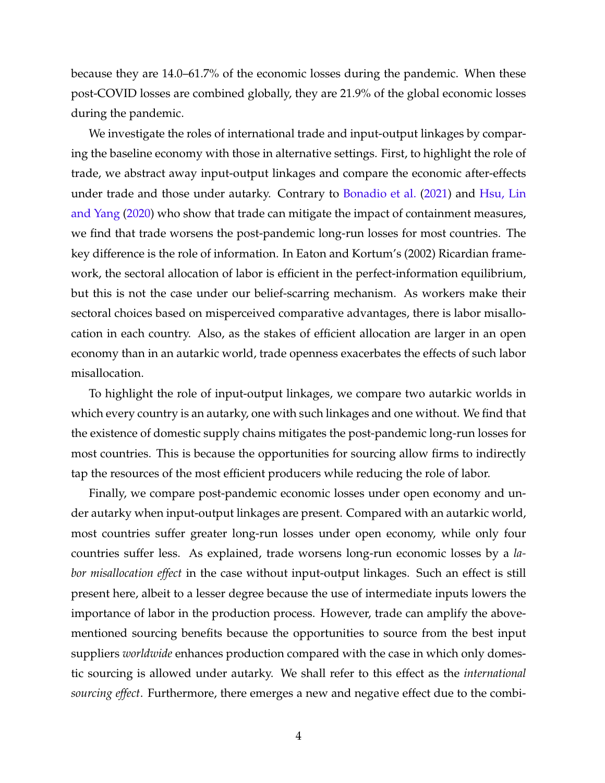because they are 14.0–61.7% of the economic losses during the pandemic. When these post-COVID losses are combined globally, they are 21.9% of the global economic losses during the pandemic.

We investigate the roles of international trade and input-output linkages by comparing the baseline economy with those in alternative settings. First, to highlight the role of trade, we abstract away input-output linkages and compare the economic after-effects under trade and those under autarky. Contrary to [Bonadio et al.](#page-35-2) [\(2021](#page-35-2)) and [Hsu, Lin](#page-36-2) [and Yang](#page-36-2) [\(2020](#page-36-2)) who show that trade can mitigate the impact of containment measures, we find that trade worsens the post-pandemic long-run losses for most countries. The key difference is the role of information. In Eaton and Kortum's (2002) Ricardian framework, the sectoral allocation of labor is efficient in the perfect-information equilibrium, but this is not the case under our belief-scarring mechanism. As workers make their sectoral choices based on misperceived comparative advantages, there is labor misallocation in each country. Also, as the stakes of efficient allocation are larger in an open economy than in an autarkic world, trade openness exacerbates the effects of such labor misallocation.

To highlight the role of input-output linkages, we compare two autarkic worlds in which every country is an autarky, one with such linkages and one without. We find that the existence of domestic supply chains mitigates the post-pandemic long-run losses for most countries. This is because the opportunities for sourcing allow firms to indirectly tap the resources of the most efficient producers while reducing the role of labor.

Finally, we compare post-pandemic economic losses under open economy and under autarky when input-output linkages are present. Compared with an autarkic world, most countries suffer greater long-run losses under open economy, while only four countries suffer less. As explained, trade worsens long-run economic losses by a *labor misallocation effect* in the case without input-output linkages. Such an effect is still present here, albeit to a lesser degree because the use of intermediate inputs lowers the importance of labor in the production process. However, trade can amplify the abovementioned sourcing benefits because the opportunities to source from the best input suppliers *worldwide* enhances production compared with the case in which only domestic sourcing is allowed under autarky. We shall refer to this effect as the *international sourcing effect*. Furthermore, there emerges a new and negative effect due to the combi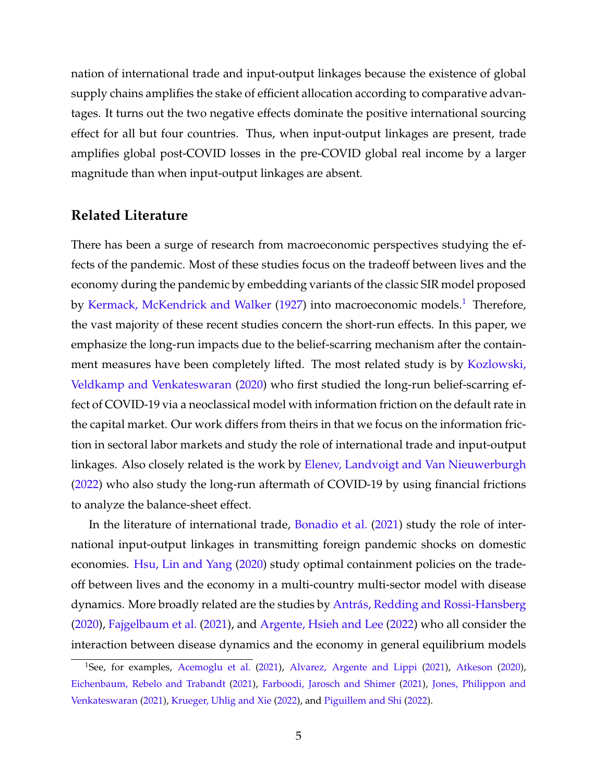nation of international trade and input-output linkages because the existence of global supply chains amplifies the stake of efficient allocation according to comparative advantages. It turns out the two negative effects dominate the positive international sourcing effect for all but four countries. Thus, when input-output linkages are present, trade amplifies global post-COVID losses in the pre-COVID global real income by a larger magnitude than when input-output linkages are absent.

#### **Related Literature**

There has been a surge of research from macroeconomic perspectives studying the effects of the pandemic. Most of these studies focus on the tradeoff between lives and the economy during the pandemic by embedding variants of the classic SIR model proposed by [Kermack, McKendrick and Walker](#page-36-3) ([1927](#page-36-3)) into macroeconomic models.<sup>[1](#page-4-0)</sup> Therefore, the vast majority of these recent studies concern the short-run effects. In this paper, we emphasize the long-run impacts due to the belief-scarring mechanism after the containment measures have been completely lifted. The most related study is by [Kozlowski,](#page-37-0) [Veldkamp and Venkateswaran](#page-37-0) [\(2020](#page-37-0)) who first studied the long-run belief-scarring effect of COVID-19 via a neoclassical model with information friction on the default rate in the capital market. Our work differs from theirs in that we focus on the information friction in sectoral labor markets and study the role of international trade and input-output linkages. Also closely related is the work by [Elenev, Landvoigt and Van Nieuwerburgh](#page-36-4) ([2022\)](#page-36-4) who also study the long-run aftermath of COVID-19 by using financial frictions to analyze the balance-sheet effect.

In the literature of international trade, [Bonadio et al.](#page-35-2) ([2021\)](#page-35-2) study the role of international input-output linkages in transmitting foreign pandemic shocks on domestic economies. [Hsu, Lin and Yang](#page-36-2) [\(2020](#page-36-2)) study optimal containment policies on the tradeoff between lives and the economy in a multi-country multi-sector model with disease dynamics. More broadly related are the studies by [Antrás, Redding and Rossi-Hansberg](#page-35-3) ([2020\)](#page-35-3), [Fajgelbaum et al.](#page-36-5) [\(2021](#page-36-5)), and [Argente, Hsieh and Lee](#page-35-4) ([2022\)](#page-35-4) who all consider the interaction between disease dynamics and the economy in general equilibrium models

<span id="page-4-0"></span><sup>&</sup>lt;sup>1</sup>See, for examples, [Acemoglu et al.](#page-35-5) [\(2021](#page-35-5)), [Alvarez, Argente and Lippi](#page-35-6) ([2021\)](#page-35-6), [Atkeson](#page-35-7) ([2020\)](#page-35-7), [Eichenbaum, Rebelo and Trabandt](#page-36-6) ([2021\)](#page-36-6), [Farboodi, Jarosch and Shimer](#page-36-7) ([2021\)](#page-36-7), [Jones, Philippon and](#page-36-8) [Venkateswaran](#page-36-8) [\(2021](#page-36-8)), [Krueger, Uhlig and Xie](#page-37-1) ([2022\)](#page-37-1), and [Piguillem and Shi](#page-37-2) ([2022](#page-37-2)).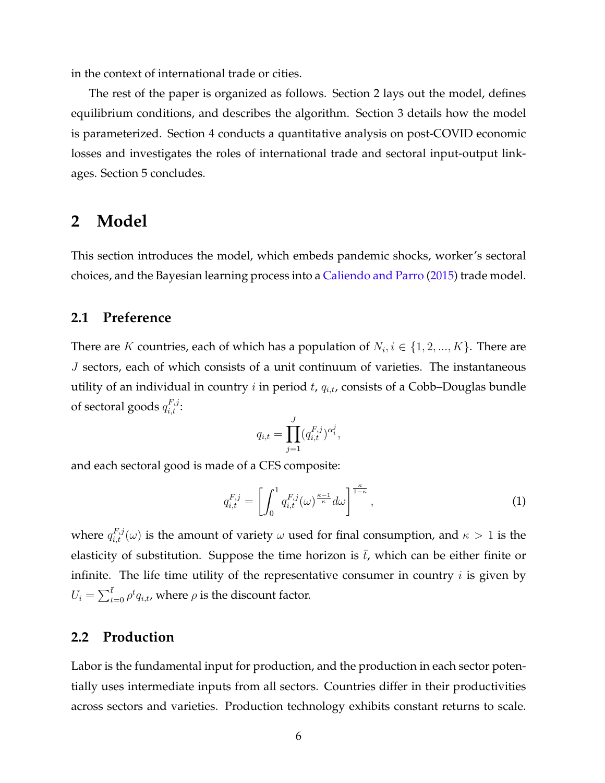in the context of international trade or cities.

The rest of the paper is organized as follows. Section 2 lays out the model, defines equilibrium conditions, and describes the algorithm. Section 3 details how the model is parameterized. Section 4 conducts a quantitative analysis on post-COVID economic losses and investigates the roles of international trade and sectoral input-output linkages. Section 5 concludes.

### **2 Model**

This section introduces the model, which embeds pandemic shocks, worker's sectoral choices, and the Bayesian learning process into a [Caliendo and Parro](#page-35-0) ([2015\)](#page-35-0) trade model.

#### **2.1 Preference**

There are *K* countries, each of which has a population of  $N_i, i \in \{1, 2, ..., K\}$ . There are *J* sectors, each of which consists of a unit continuum of varieties. The instantaneous utility of an individual in country *i* in period *t*, *qi,t*, consists of a Cobb–Douglas bundle of sectoral goods  $q_{i,t}^{F,j}$ :

$$
q_{i,t} = \prod_{j=1}^{J} (q_{i,t}^{F,j})^{\alpha_i^j},
$$

and each sectoral good is made of a CES composite:

<span id="page-5-0"></span>
$$
q_{i,t}^{F,j} = \left[ \int_0^1 q_{i,t}^{F,j} (\omega)^{\frac{\kappa - 1}{\kappa}} d\omega \right]^{\frac{\kappa}{1 - \kappa}}, \tag{1}
$$

where  $q_{i,t}^{F,j}(\omega)$  is the amount of variety  $\omega$  used for final consumption, and  $\kappa > 1$  is the elasticity of substitution. Suppose the time horizon is  $\bar{t}$ , which can be either finite or infinite. The life time utility of the representative consumer in country *i* is given by  $U_i = \sum_{t=0}^{\bar{t}} \rho^t q_{i,t}$ , where  $\rho$  is the discount factor.

#### **2.2 Production**

Labor is the fundamental input for production, and the production in each sector potentially uses intermediate inputs from all sectors. Countries differ in their productivities across sectors and varieties. Production technology exhibits constant returns to scale.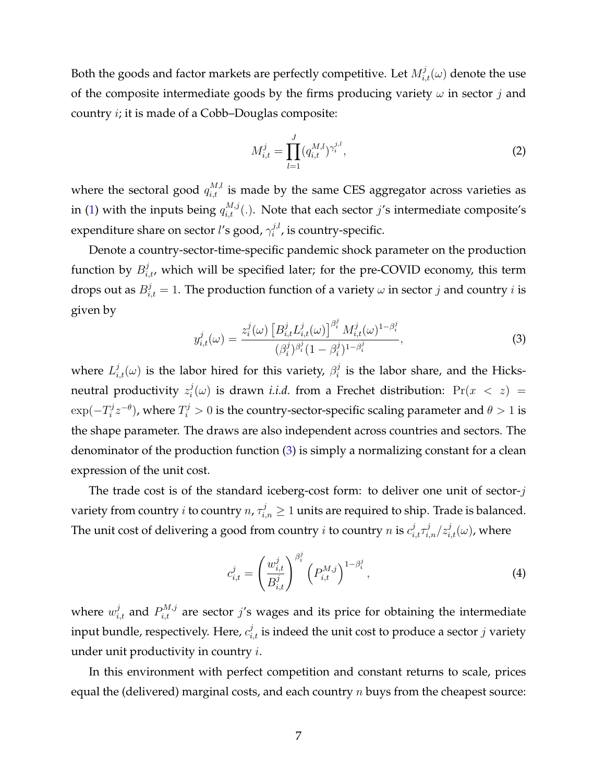Both the goods and factor markets are perfectly competitive. Let  $M_{i,t}^j(\omega)$  denote the use of the composite intermediate goods by the firms producing variety  $\omega$  in sector *j* and country *i*; it is made of a Cobb–Douglas composite:

$$
M_{i,t}^j = \prod_{l=1}^J (q_{i,t}^{M,l})^{\gamma_i^{j,l}},
$$
\n(2)

where the sectoral good  $q_{i,t}^{M,l}$  is made by the same CES aggregator across varieties as in [\(1](#page-5-0)) with the inputs being  $q_{i,t}^{M,j}(.)$ . Note that each sector  $j$ 's intermediate composite's expenditure share on sector *l*'s good, *γ j,l*  $i^{j,l}$ , is country-specific.

Denote a country-sector-time-specific pandemic shock parameter on the production function by  $B_{i,t}^j$ , which will be specified later; for the pre-COVID economy, this term drops out as  $B_{i,t}^j = 1$ . The production function of a variety  $\omega$  in sector  $j$  and country  $i$  is given by

<span id="page-6-0"></span>
$$
y_{i,t}^j(\omega) = \frac{z_i^j(\omega) \left[ B_{i,t}^j L_{i,t}^j(\omega) \right]^{\beta_i^j} M_{i,t}^j(\omega)^{1-\beta_i^j}}{(\beta_i^j)^{\beta_i^j} (1-\beta_i^j)^{1-\beta_i^j}},
$$
\n(3)

where  $L_{i,t}^j(\omega)$  is the labor hired for this variety,  $\beta_i^j$  $\mathbf{F}_i^j$  is the labor share, and the Hicksneutral productivity *z j*  $\hat{f}_i^j(\omega)$  is drawn *i.i.d.* from a Frechet distribution:  $\Pr(x \, < \, z)$  =  $\exp(-T_i^j)$  $\sigma_i^{j} z^{-\theta}$ ), where  $T_i^j > 0$  is the country-sector-specific scaling parameter and  $\theta > 1$  is the shape parameter. The draws are also independent across countries and sectors. The denominator of the production function ([3\)](#page-6-0) is simply a normalizing constant for a clean expression of the unit cost.

The trade cost is of the standard iceberg-cost form: to deliver one unit of sector-*j* variety from country *i* to country  $n, \tau_{i,n}^j \geq 1$  units are required to ship. Trade is balanced. The unit cost of delivering a good from country *i* to country *n* is  $c^j_{i,t}\tau^j_{i,n}/z^j_{i,t}(\omega)$ , where

$$
c_{i,t}^j = \left(\frac{w_{i,t}^j}{B_{i,t}^j}\right)^{\beta_i^j} \left(P_{i,t}^{M,j}\right)^{1-\beta_i^j},\tag{4}
$$

where  $w_{i,t}^j$  and  $P_{i,t}^{M,j}$  are sector  $j$ 's wages and its price for obtaining the intermediate input bundle, respectively. Here,  $c_{i,t}^j$  is indeed the unit cost to produce a sector  $j$  variety under unit productivity in country *i*.

In this environment with perfect competition and constant returns to scale, prices equal the (delivered) marginal costs, and each country *n* buys from the cheapest source: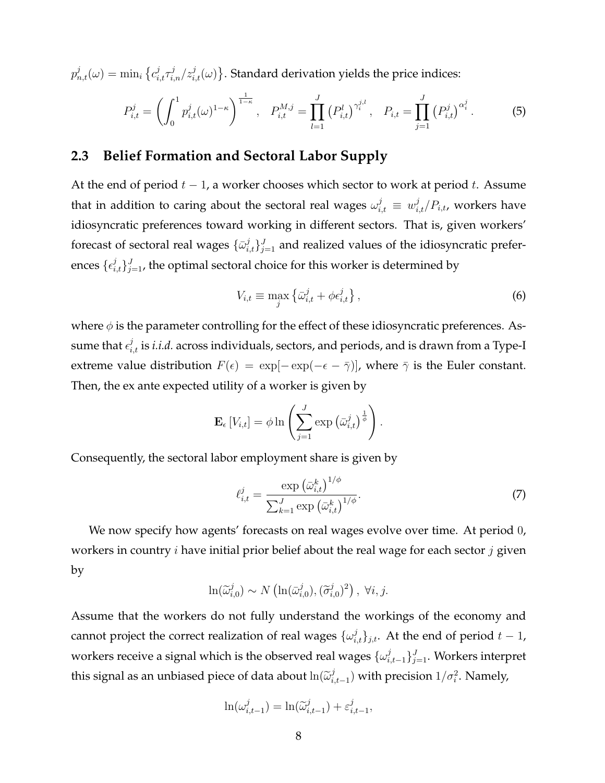$p^j_{n,t}(\omega) = \min_i \big\{ c^j_{i,t} \tau^j_{i,n}/z^j_{i,t}(\omega) \big\}.$  Standard derivation yields the price indices:

<span id="page-7-1"></span>
$$
P_{i,t}^j = \left(\int_0^1 p_{i,t}^j(\omega)^{1-\kappa}\right)^{\frac{1}{1-\kappa}}, \quad P_{i,t}^{M,j} = \prod_{l=1}^J \left(P_{i,t}^l\right)^{\gamma_i^{j,l}}, \quad P_{i,t} = \prod_{j=1}^J \left(P_{i,t}^j\right)^{\alpha_i^j}.
$$
 (5)

#### **2.3 Belief Formation and Sectoral Labor Supply**

At the end of period *t −* 1, a worker chooses which sector to work at period *t*. Assume that in addition to caring about the sectoral real wages  $\omega_{i,t}^j \, \equiv \, w_{i,t}^j/P_{i,t}$ , workers have idiosyncratic preferences toward working in different sectors. That is, given workers' forecast of sectoral real wages  $\{\bar{\omega}_{i,t}^j\}_{j=1}^J$  and realized values of the idiosyncratic preferences  $\{\epsilon_{i,t}^j\}_{j=1}^J$ , the optimal sectoral choice for this worker is determined by

$$
V_{i,t} \equiv \max_{j} \left\{ \bar{\omega}_{i,t}^{j} + \phi \epsilon_{i,t}^{j} \right\},\tag{6}
$$

where  $\phi$  is the parameter controlling for the effect of these idiosyncratic preferences. Assume that  $\epsilon_{i,t}^j$  is *i.i.d.* across individuals, sectors, and periods, and is drawn from a Type-I extreme value distribution  $F(\epsilon) = \exp[-\exp(-\epsilon - \bar{\gamma})]$ , where  $\bar{\gamma}$  is the Euler constant. Then, the ex ante expected utility of a worker is given by

$$
\mathbf{E}_{\epsilon}[V_{i,t}] = \phi \ln \left( \sum_{j=1}^{J} \exp \left( \bar{\omega}_{i,t}^{j} \right)^{\frac{1}{\phi}} \right).
$$

Consequently, the sectoral labor employment share is given by

<span id="page-7-0"></span>
$$
\ell_{i,t}^j = \frac{\exp\left(\bar{\omega}_{i,t}^k\right)^{1/\phi}}{\sum_{k=1}^J \exp\left(\bar{\omega}_{i,t}^k\right)^{1/\phi}}.\tag{7}
$$

We now specify how agents' forecasts on real wages evolve over time. At period 0, workers in country *i* have initial prior belief about the real wage for each sector *j* given by

$$
\ln(\widetilde{\omega}_{i,0}^j) \sim N\left(\ln(\bar{\omega}_{i,0}^j), (\widetilde{\sigma}_{i,0}^j)^2\right), \ \forall i, j.
$$

Assume that the workers do not fully understand the workings of the economy and cannot project the correct realization of real wages  $\{\omega_{i,t}^j\}_{j,t}$ . At the end of period  $t-1$ , workers receive a signal which is the observed real wages  $\{\omega_i^j\}$ *i,t−*1 *} J <sup>j</sup>*=1. Workers interpret this signal as an unbiased piece of data about  $ln(\widetilde{\omega}_i^j)$  $\sum_{i,t-1}^{j}$  with precision  $1/\sigma_i^2$ . Namely,

$$
\ln(\omega_{i,t-1}^j) = \ln(\widetilde{\omega}_{i,t-1}^j) + \varepsilon_{i,t-1}^j,
$$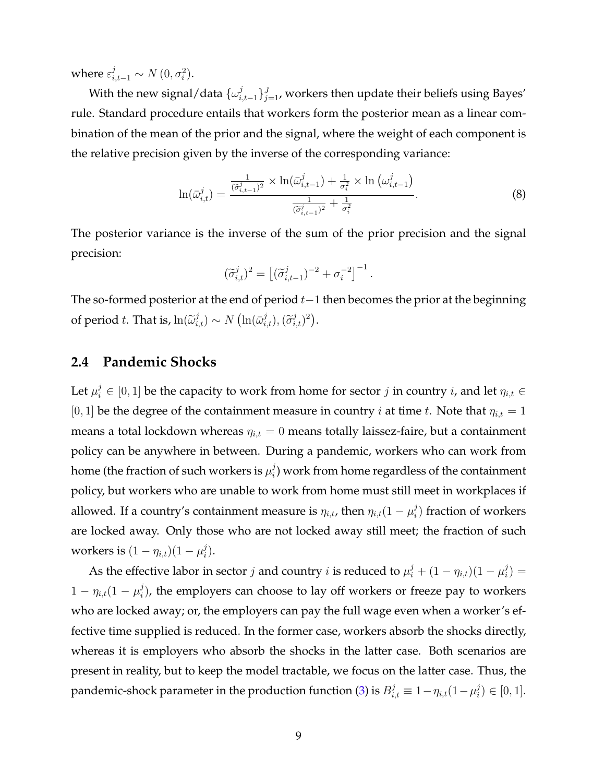where  $\varepsilon_{i,t-1}^j \sim N(0, \sigma_i^2)$ .

With the new signal/data  $\{\omega_i^j\}$ *i,t−*1 *} J <sup>j</sup>*=1, workers then update their beliefs using Bayes' rule. Standard procedure entails that workers form the posterior mean as a linear combination of the mean of the prior and the signal, where the weight of each component is the relative precision given by the inverse of the corresponding variance:

<span id="page-8-0"></span>
$$
\ln(\bar{\omega}_{i,t}^j) = \frac{\frac{1}{(\bar{\sigma}_{i,t-1}^j)^2} \times \ln(\bar{\omega}_{i,t-1}^j) + \frac{1}{\sigma_i^2} \times \ln(\omega_{i,t-1}^j)}{\frac{1}{(\bar{\sigma}_{i,t-1}^j)^2} + \frac{1}{\sigma_i^2}}.
$$
\n
$$
(8)
$$

The posterior variance is the inverse of the sum of the prior precision and the signal precision:

$$
(\tilde{\sigma}_{i,t}^j)^2 = \left[ (\tilde{\sigma}_{i,t-1}^j)^{-2} + \sigma_i^{-2} \right]^{-1}.
$$

The so-formed posterior at the end of period *t−*1 then becomes the prior at the beginning of period *t*. That is,  $\ln(\widetilde{\omega}_{i,t}^j) \sim N(\ln(\bar{\omega}_{i,t}^j), (\widetilde{\sigma}_{i,t}^j)^2)$ .

#### **2.4 Pandemic Shocks**

Let  $\mu_i^j \in [0,1]$  be the capacity to work from home for sector  $j$  in country  $i$ , and let  $\eta_{i,t} \in$  $[0, 1]$  be the degree of the containment measure in country *i* at time *t*. Note that  $\eta_{i,t} = 1$ means a total lockdown whereas  $\eta_{i,t} = 0$  means totally laissez-faire, but a containment policy can be anywhere in between. During a pandemic, workers who can work from home (the fraction of such workers is  $\mu_i^j$  $\mathcal{C}_i^{\jmath}$ ) work from home regardless of the containment policy, but workers who are unable to work from home must still meet in workplaces if allowed. If a country's containment measure is  $\eta_{i,t}$ , then  $\eta_{i,t}(1-\mu_i^j)$ *i* ) fraction of workers are locked away. Only those who are not locked away still meet; the fraction of such workers is  $(1 - \eta_{i,t})(1 - \mu_i^j)$  $\binom{j}{i}$ .

As the effective labor in sector *j* and country *i* is reduced to  $\mu_i^j + (1 - \eta_{i,t})(1 - \mu_i^j)$  $\binom{J}{i}$  $1 - \eta_{i,t} (1 - \mu_i^j)$  $\hat{p}_i^j$ ), the employers can choose to lay off workers or freeze pay to workers who are locked away; or, the employers can pay the full wage even when a worker's effective time supplied is reduced. In the former case, workers absorb the shocks directly, whereas it is employers who absorb the shocks in the latter case. Both scenarios are present in reality, but to keep the model tractable, we focus on the latter case. Thus, the pandemic-shock parameter in the production function [\(3](#page-6-0)) is  $B_{i,t}^j \equiv 1 - \eta_{i,t}(1-\mu_i^j)$  $\binom{J}{i}$  ∈ [0, 1].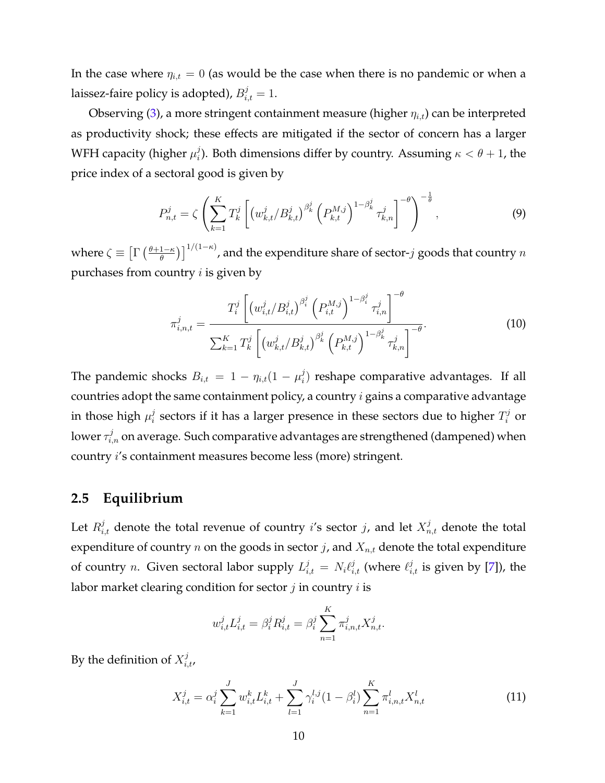In the case where  $\eta_{i,t} = 0$  (as would be the case when there is no pandemic or when a laissez-faire policy is adopted)*,*  $B_{i,t}^j = 1$ .

Observing [\(3](#page-6-0)), a more stringent containment measure (higher *ηi,t*) can be interpreted as productivity shock; these effects are mitigated if the sector of concern has a larger WFH capacity (higher *µ j i* ). Both dimensions differ by country. Assuming *κ < θ* + 1, the price index of a sectoral good is given by

<span id="page-9-0"></span>
$$
P_{n,t}^{j} = \zeta \left( \sum_{k=1}^{K} T_{k}^{j} \left[ \left( w_{k,t}^{j} / B_{k,t}^{j} \right)^{\beta_{k}^{j}} \left( P_{k,t}^{M,j} \right)^{1-\beta_{k}^{j}} \tau_{k,n}^{j} \right]^{-\theta} \right)^{-\frac{1}{\theta}}, \tag{9}
$$

where  $\zeta \equiv \left[\Gamma\left(\frac{\theta+1-\kappa}{\theta}\right)\right]^{1/(1-\kappa)}$ , and the expenditure share of sector-*j* goods that country  $n$ purchases from country *i* is given by

<span id="page-9-2"></span>
$$
\pi_{i,n,t}^{j} = \frac{T_i^j \left[ \left( w_{i,t}^j / B_{i,t}^j \right)^{\beta_i^j} \left( P_{i,t}^{M,j} \right)^{1-\beta_i^j} \tau_{i,n}^j \right]^{-\theta}}{\sum_{k=1}^K T_k^j \left[ \left( w_{k,t}^j / B_{k,t}^j \right)^{\beta_k^j} \left( P_{k,t}^{M,j} \right)^{1-\beta_k^j} \tau_{k,n}^j \right]^{-\theta}}.
$$
\n(10)

The pandemic shocks  $B_{i,t} = 1 - \eta_{i,t} (1 - \mu_i^j)$  $\binom{1}{i}$  reshape comparative advantages. If all countries adopt the same containment policy, a country *i* gains a comparative advantage in those high  $\mu_i^j$  $\hat{J}_i$  sectors if it has a larger presence in these sectors due to higher  $T_i^j$  or lower  $\tau^j_{i,n}$  on average. Such comparative advantages are strengthened (dampened) when country *i*'s containment measures become less (more) stringent.

#### **2.5 Equilibrium**

Let  $R_{i,t}^j$  denote the total revenue of country *i*'s sector *j*, and let  $X_{n,t}^j$  denote the total expenditure of country  $n$  on the goods in sector  $j$ , and  $X_{n,t}$  denote the total expenditure of country *n*. Given sectoral labor supply  $L_{i,t}^j = N_i \ell_{i,t}^j$  (where  $\ell_{i,t}^j$  is given by [[7\]](#page-7-0)), the labor market clearing condition for sector *j* in country *i* is

$$
w_{i,t}^j L_{i,t}^j = \beta_i^j R_{i,t}^j = \beta_i^j \sum_{n=1}^K \pi_{i,n,t}^j X_{n,t}^j.
$$

By the definition of  $X_{i,t}^j$ ,

<span id="page-9-1"></span>
$$
X_{i,t}^j = \alpha_i^j \sum_{k=1}^J w_{i,t}^k L_{i,t}^k + \sum_{l=1}^J \gamma_i^{l,j} (1 - \beta_i^l) \sum_{n=1}^K \pi_{i,n,t}^l X_{n,t}^l
$$
\n(11)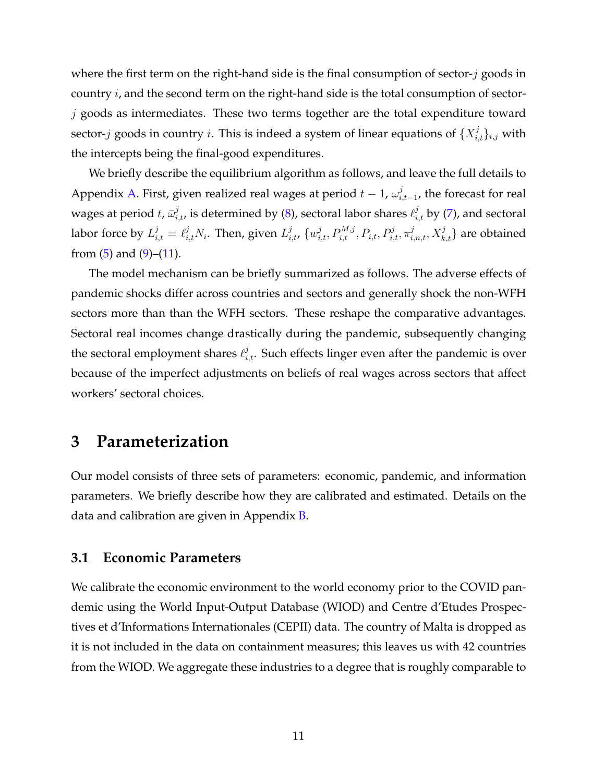where the first term on the right-hand side is the final consumption of sector-*j* goods in country *i*, and the second term on the right-hand side is the total consumption of sector*j* goods as intermediates. These two terms together are the total expenditure toward sector-*j* goods in country *i*. This is indeed a system of linear equations of  $\{X_{i,t}^j\}_{i,j}$  with the intercepts being the final-good expenditures.

We briefly describe the equilibrium algorithm as follows, and leave the full details to Appendix [A](#page-22-0). First, given realized real wages at period *t −* 1, *ω j i,t−*1 , the forecast for real wages at period  $t$ ,  $\bar{\omega}^j_{i,t}$ , is determined by ([8\)](#page-8-0), sectoral labor shares  $\ell^j_{i,t}$  by [\(7](#page-7-0)), and sectoral labor force by  $L^j_{i,t}=\ell^j_{i,t}N_i$ . Then, given  $L^j_{i,t}$ ,  $\{w^j_{i,t},P^{M,j}_{i,t},P_{i,t},P^j_{i,t},\pi^j_{i,n,t},X^j_{k,t}\}$  are obtained from  $(5)$  $(5)$  and  $(9)$  $(9)$ – $(11)$  $(11)$ .

The model mechanism can be briefly summarized as follows. The adverse effects of pandemic shocks differ across countries and sectors and generally shock the non-WFH sectors more than than the WFH sectors. These reshape the comparative advantages. Sectoral real incomes change drastically during the pandemic, subsequently changing the sectoral employment shares  $ℓ_{i,t}^j$ . Such effects linger even after the pandemic is over because of the imperfect adjustments on beliefs of real wages across sectors that affect workers' sectoral choices.

### **3 Parameterization**

Our model consists of three sets of parameters: economic, pandemic, and information parameters. We briefly describe how they are calibrated and estimated. Details on the data and calibration are given in Appendix [B.](#page-25-0)

#### **3.1 Economic Parameters**

We calibrate the economic environment to the world economy prior to the COVID pandemic using the World Input-Output Database (WIOD) and Centre d'Etudes Prospectives et d'Informations Internationales (CEPII) data. The country of Malta is dropped as it is not included in the data on containment measures; this leaves us with 42 countries from the WIOD. We aggregate these industries to a degree that is roughly comparable to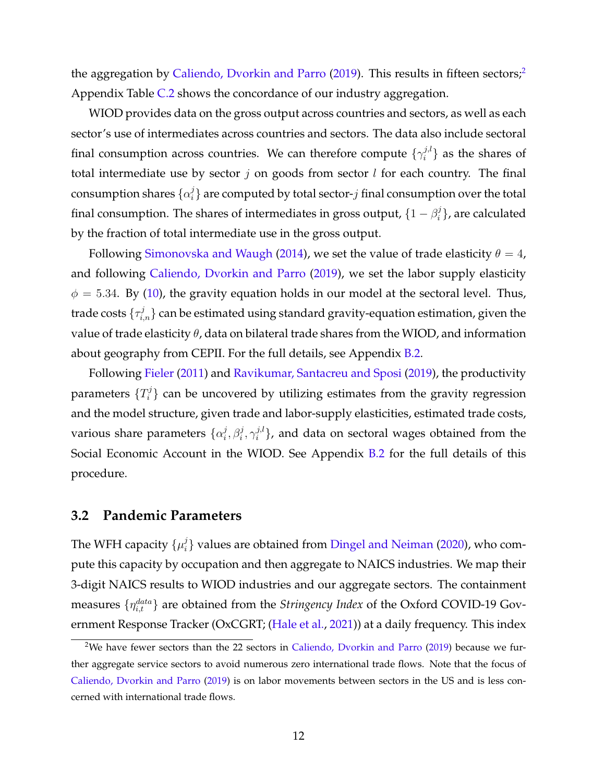the aggregation by [Caliendo, Dvorkin and Parro](#page-35-8) [\(2019](#page-35-8)). This results in fifteen sectors;<sup>[2](#page-11-0)</sup> Appendix Table [C.2](#page-31-0) shows the concordance of our industry aggregation.

WIOD provides data on the gross output across countries and sectors, as well as each sector's use of intermediates across countries and sectors. The data also include sectoral final consumption across countries. We can therefore compute  $\{\gamma_i^{j,l}\}$  $\{a_i^{j,l}\}$  as the shares of total intermediate use by sector *j* on goods from sector *l* for each country. The final consumption shares  $\{\alpha_i^j\}$  $\mathcal{I}^j_i$  are computed by total sector- $j$  final consumption over the total final consumption. The shares of intermediates in gross output,  $\{1 - \beta_i^j\}$ *i }*, are calculated by the fraction of total intermediate use in the gross output.

Following [Simonovska and Waugh](#page-37-3) [\(2014](#page-37-3)), we set the value of trade elasticity  $\theta = 4$ , and following [Caliendo, Dvorkin and Parro](#page-35-8) ([2019\)](#page-35-8), we set the labor supply elasticity  $\phi = 5.34$ . By ([10\)](#page-9-2), the gravity equation holds in our model at the sectoral level. Thus, trade costs  $\{\tau_{i,n}^j\}$  can be estimated using standard gravity-equation estimation, given the value of trade elasticity *θ*, data on bilateral trade shares from the WIOD, and information about geography from CEPII. For the full details, see Appendix [B.2](#page-27-0).

Following [Fieler](#page-36-9) ([2011\)](#page-36-9) and [Ravikumar, Santacreu and Sposi](#page-37-4) [\(2019](#page-37-4)), the productivity parameters  $\{T_i^j\}$  $\mathcal{P}_i^j$  can be uncovered by utilizing estimates from the gravity regression and the model structure, given trade and labor-supply elasticities, estimated trade costs, various share parameters *{α j*  $j^{j}_{i}, \beta^{j}_{i}, \gamma^{j,l}_{i}$  $\{a_i^{j,t}\}$ , and data on sectoral wages obtained from the Social Economic Account in the WIOD. See Appendix [B.2](#page-27-0) for the full details of this procedure.

#### **3.2 Pandemic Parameters**

The WFH capacity  $\{\mu_i^j\}$ *i }* values are obtained from [Dingel and Neiman](#page-35-1) ([2020\)](#page-35-1), who compute this capacity by occupation and then aggregate to NAICS industries. We map their 3-digit NAICS results to WIOD industries and our aggregate sectors. The containment measures  $\{\eta_{i,t}^{data}\}$  are obtained from the *Stringency Index* of the Oxford COVID-19 Government Response Tracker (OxCGRT; [\(Hale et al.](#page-36-1), [2021\)](#page-36-1)) at a daily frequency. This index

<span id="page-11-0"></span><sup>&</sup>lt;sup>2</sup>We have fewer sectors than the 22 sectors in [Caliendo, Dvorkin and Parro](#page-35-8) [\(2019](#page-35-8)) because we further aggregate service sectors to avoid numerous zero international trade flows. Note that the focus of [Caliendo, Dvorkin and Parro](#page-35-8) ([2019\)](#page-35-8) is on labor movements between sectors in the US and is less concerned with international trade flows.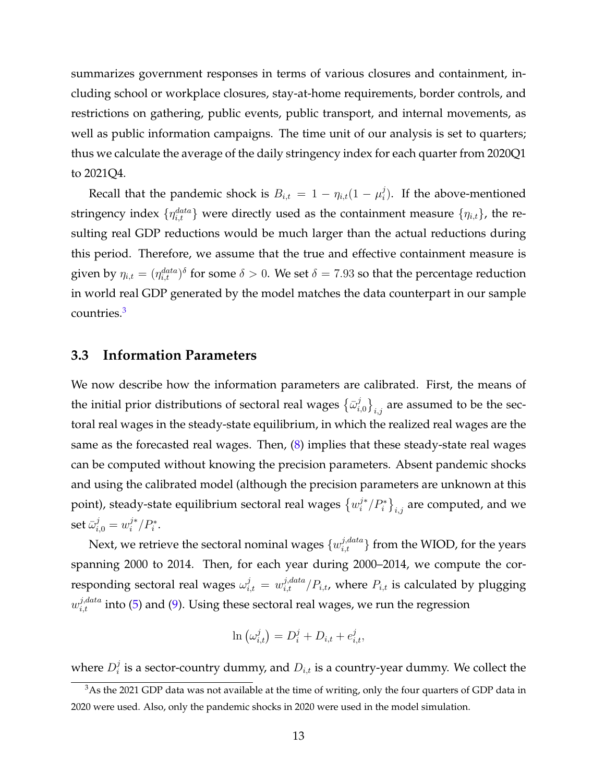summarizes government responses in terms of various closures and containment, including school or workplace closures, stay-at-home requirements, border controls, and restrictions on gathering, public events, public transport, and internal movements, as well as public information campaigns. The time unit of our analysis is set to quarters; thus we calculate the average of the daily stringency index for each quarter from 2020Q1 to 2021Q4.

Recall that the pandemic shock is  $B_{i,t} = 1 - \eta_{i,t} (1 - \mu_i^j)$  $\binom{J}{i}$ . If the above-mentioned stringency index  $\{\eta_{i,t}^{data}\}$  were directly used as the containment measure  $\{\eta_{i,t}\}$ , the resulting real GDP reductions would be much larger than the actual reductions during this period. Therefore, we assume that the true and effective containment measure is given by  $\eta_{i,t} = (\eta_{i,t}^{data})^{\delta}$  for some  $\delta > 0$ . We set  $\delta = 7.93$  so that the percentage reduction in world real GDP generated by the model matches the data counterpart in our sample countries.[3](#page-12-0)

#### **3.3 Information Parameters**

We now describe how the information parameters are calibrated. First, the means of the initial prior distributions of sectoral real wages  $\{\bar{\omega}_i^j\}$  $\left\{ \left. \begin{array}{c} j \ j_{i,j} \end{array} \right\} _{i,j}$  are assumed to be the sectoral real wages in the steady-state equilibrium, in which the realized real wages are the same as the forecasted real wages. Then, ([8\)](#page-8-0) implies that these steady-state real wages can be computed without knowing the precision parameters. Absent pandemic shocks and using the calibrated model (although the precision parameters are unknown at this point), steady-state equilibrium sectoral real wages  $\left\{w_i^{j*}/P_i^*\right\}_{i,j}$  are computed, and we  $\operatorname{set} \bar{\omega}_{i,0}^j = w_i^{j*}/P_i^*.$ 

Next, we retrieve the sectoral nominal wages  $\{w_{i,t}^{j,data}\}$  from the WIOD, for the years spanning 2000 to 2014. Then, for each year during 2000–2014, we compute the corresponding sectoral real wages  $\omega_{i,t}^j = w_{i,t}^{j,data} / P_{i,t}$ , where  $P_{i,t}$  is calculated by plugging  $w_{i,t}^{j,data}$  into [\(5](#page-7-1)) and [\(9](#page-9-0)). Using these sectoral real wages, we run the regression

$$
\ln\left(\omega_{i,t}^j\right) = D_i^j + D_{i,t} + e_{i,t}^j,
$$

where  $D_i^j$  $\mathcal{I}_i^j$  is a sector-country dummy, and  $D_{i,t}$  is a country-year dummy. We collect the

<span id="page-12-0"></span><sup>&</sup>lt;sup>3</sup>As the 2021 GDP data was not available at the time of writing, only the four quarters of GDP data in 2020 were used. Also, only the pandemic shocks in 2020 were used in the model simulation.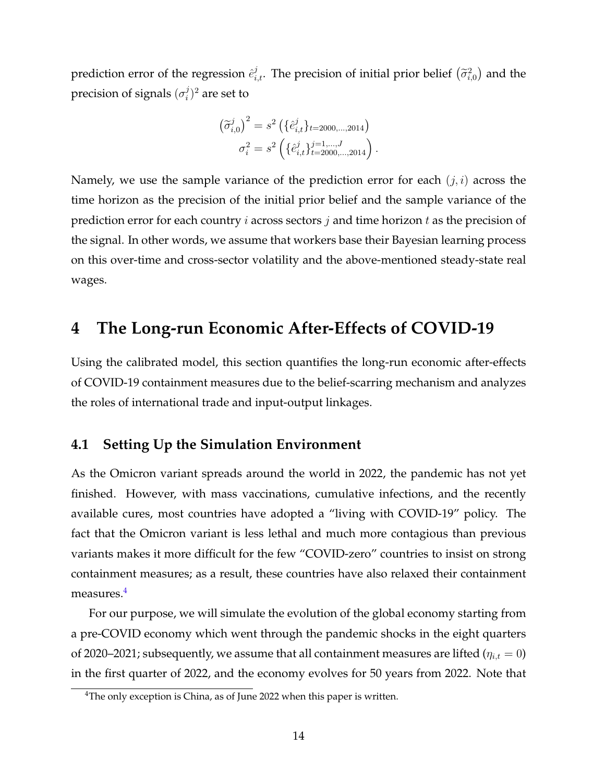prediction error of the regression  $\hat{e}^j_{i,t}$ . The precision of initial prior belief  $(\tilde{\sigma}^2_{i,0})$  and the precision of signals (*σ j*  $i^j)^2$  are set to

$$
\left(\widetilde{\sigma}_{i,0}^{j}\right)^{2} = s^{2} \left(\{\hat{e}_{i,t}^{j}\}_{t=2000,\dots,2014}\right)
$$

$$
\sigma_{i}^{2} = s^{2} \left(\{\hat{e}_{i,t}^{j}\}_{t=2000,\dots,2014}^{j=1,\dots,J}\right).
$$

Namely, we use the sample variance of the prediction error for each (*j, i*) across the time horizon as the precision of the initial prior belief and the sample variance of the prediction error for each country *i* across sectors *j* and time horizon *t* as the precision of the signal. In other words, we assume that workers base their Bayesian learning process on this over-time and cross-sector volatility and the above-mentioned steady-state real wages.

### **4 The Long-run Economic After-Effects of COVID-19**

Using the calibrated model, this section quantifies the long-run economic after-effects of COVID-19 containment measures due to the belief-scarring mechanism and analyzes the roles of international trade and input-output linkages.

#### **4.1 Setting Up the Simulation Environment**

As the Omicron variant spreads around the world in 2022, the pandemic has not yet finished. However, with mass vaccinations, cumulative infections, and the recently available cures, most countries have adopted a "living with COVID-19" policy. The fact that the Omicron variant is less lethal and much more contagious than previous variants makes it more difficult for the few "COVID-zero" countries to insist on strong containment measures; as a result, these countries have also relaxed their containment measures.<sup>[4](#page-13-0)</sup>

For our purpose, we will simulate the evolution of the global economy starting from a pre-COVID economy which went through the pandemic shocks in the eight quarters of 2020–2021; subsequently, we assume that all containment measures are lifted ( $\eta_{i,t} = 0$ ) in the first quarter of 2022, and the economy evolves for 50 years from 2022. Note that

<span id="page-13-0"></span><sup>&</sup>lt;sup>4</sup>The only exception is China, as of June 2022 when this paper is written.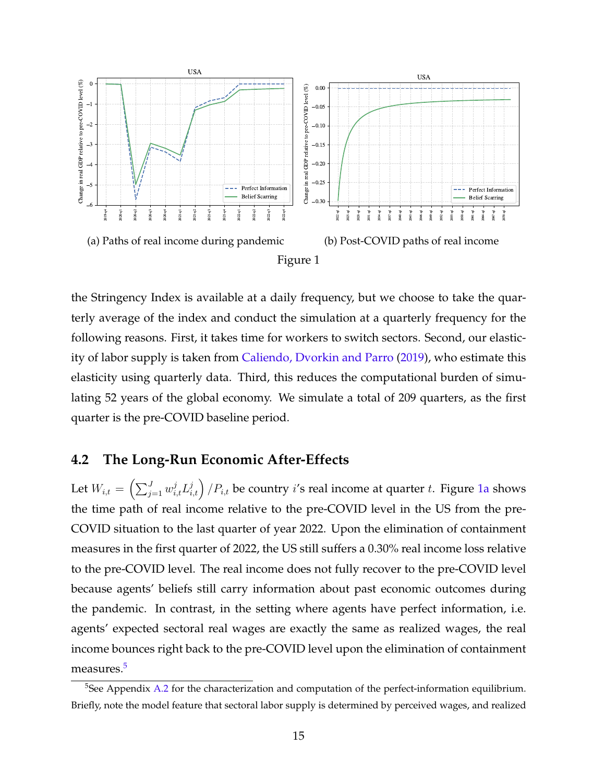<span id="page-14-0"></span>

the Stringency Index is available at a daily frequency, but we choose to take the quarterly average of the index and conduct the simulation at a quarterly frequency for the following reasons. First, it takes time for workers to switch sectors. Second, our elasticity of labor supply is taken from [Caliendo, Dvorkin and Parro](#page-35-8) ([2019](#page-35-8)), who estimate this elasticity using quarterly data. Third, this reduces the computational burden of simulating 52 years of the global economy. We simulate a total of 209 quarters, as the first quarter is the pre-COVID baseline period.

#### **4.2 The Long-Run Economic After-Effects**

Let  $W_{i,t} = \left( \sum_{j=1}^J w_{i,t}^j L_{i,t}^j \right)/P_{i,t}$  be country  $i$ 's real income at quarter  $t.$  Figure [1a](#page-14-0) shows the time path of real income relative to the pre-COVID level in the US from the pre-COVID situation to the last quarter of year 2022. Upon the elimination of containment measures in the first quarter of 2022, the US still suffers a 0.30% real income loss relative to the pre-COVID level. The real income does not fully recover to the pre-COVID level because agents' beliefs still carry information about past economic outcomes during the pandemic. In contrast, in the setting where agents have perfect information, i.e. agents' expected sectoral real wages are exactly the same as realized wages, the real income bounces right back to the pre-COVID level upon the elimination of containment measures.[5](#page-14-1)

<span id="page-14-1"></span><sup>&</sup>lt;sup>5</sup>See Appendix [A.2](#page-25-1) for the characterization and computation of the perfect-information equilibrium. Briefly, note the model feature that sectoral labor supply is determined by perceived wages, and realized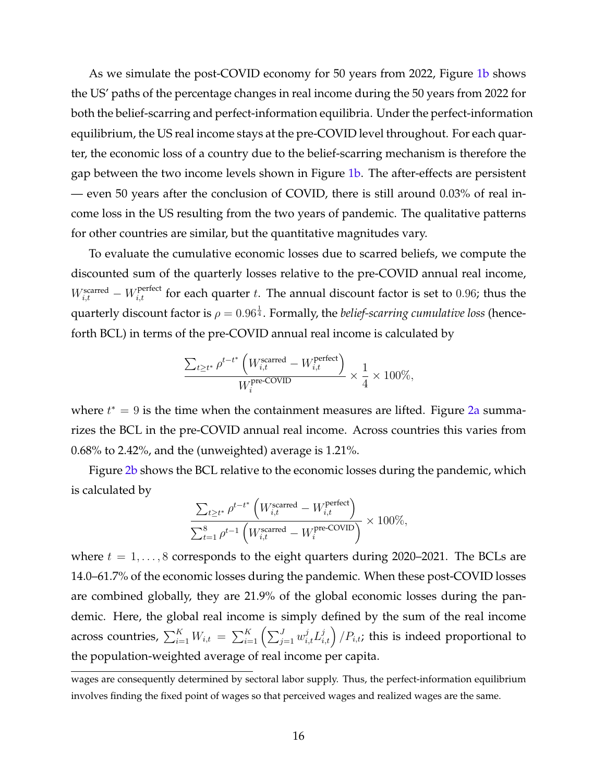As we simulate the post-COVID economy for 50 years from 2022, Figure [1b](#page-14-0) shows the US' paths of the percentage changes in real income during the 50 years from 2022 for both the belief-scarring and perfect-information equilibria. Under the perfect-information equilibrium, the US real income stays at the pre-COVID level throughout. For each quarter, the economic loss of a country due to the belief-scarring mechanism is therefore the gap between the two income levels shown in Figure [1b](#page-14-0). The after-effects are persistent — even 50 years after the conclusion of COVID, there is still around 0.03% of real income loss in the US resulting from the two years of pandemic. The qualitative patterns for other countries are similar, but the quantitative magnitudes vary.

To evaluate the cumulative economic losses due to scarred beliefs, we compute the discounted sum of the quarterly losses relative to the pre-COVID annual real income,  $W_{i,t}^{\text{scarred}} - W_{i,t}^{\text{perfect}}$  for each quarter *t*. The annual discount factor is set to 0.96; thus the quarterly discount factor is  $\rho=0.96^{\frac{1}{4}}.$  Formally, the *belief-scarring cumulative loss* (henceforth BCL) in terms of the pre-COVID annual real income is calculated by

$$
\frac{\sum_{t\geq t^*}\rho^{t-t^*}\left(W^{\text{scarred}}_{i,t}-W^{\text{perfect}}_{i,t}\right)}{W^{\text{pre-COVID}}_i\times\frac{1}{4}\times 100\%,}
$$

where *t*<sup>\*</sup> = 9 is the time when the containment measures are lifted. Figure [2a](#page-16-0) summarizes the BCL in the pre-COVID annual real income. Across countries this varies from 0.68% to 2.42%, and the (unweighted) average is 1.21%.

Figure [2b](#page-16-0) shows the BCL relative to the economic losses during the pandemic, which is calculated by

$$
\frac{\sum_{t \ge t^*} \rho^{t-t^*} \left( W_{i,t}^{\text{scarred}} - W_{i,t}^{\text{perfect}} \right)}{\sum_{t=1}^8 \rho^{t-1} \left( W_{i,t}^{\text{scarred}} - W_i^{\text{pre-COVID}} \right)} \times 100\%,
$$

where *t* = 1*, . . . ,* 8 corresponds to the eight quarters during 2020–2021. The BCLs are 14.0–61.7% of the economic losses during the pandemic. When these post-COVID losses are combined globally, they are 21.9% of the global economic losses during the pandemic. Here, the global real income is simply defined by the sum of the real income across countries,  $\sum_{i=1}^K W_{i,t} \ = \ \sum_{i=1}^K \left(\sum_{j=1}^J w_{i,t}^j L_{i,t}^j\right)/P_{i,t}$ ; this is indeed proportional to the population-weighted average of real income per capita.

wages are consequently determined by sectoral labor supply. Thus, the perfect-information equilibrium involves finding the fixed point of wages so that perceived wages and realized wages are the same.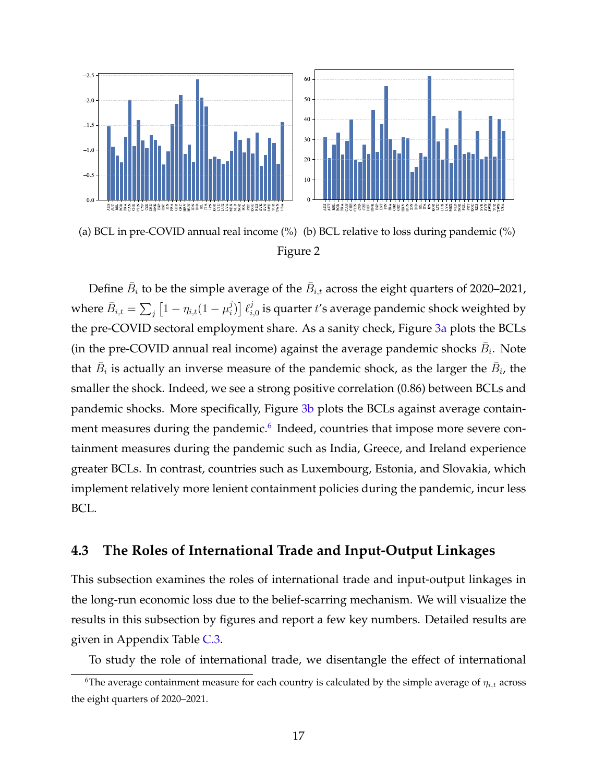<span id="page-16-0"></span>

(a) BCL in pre-COVID annual real income (%) (b) BCL relative to loss during pandemic (%) Figure 2

Define  $\bar{B}_i$  to be the simple average of the  $\bar{B}_{i,t}$  across the eight quarters of 2020–2021, where  $\bar{B}_{i,t} = \sum_j \left[1 - \eta_{i,t}(1-\mu_i^j)\right]$  $\left[\ell_i^j\right]$  $\hat{p}_{i,0}^j$  is quarter  $t$ 's average pandemic shock weighted by the pre-COVID sectoral employment share. As a sanity check, Figure [3a](#page-17-0) plots the BCLs (in the pre-COVID annual real income) against the average pandemic shocks  $\bar{B}_i$ . Note that  $\bar{B}_i$  is actually an inverse measure of the pandemic shock, as the larger the  $\bar{B}_i$ , the smaller the shock. Indeed, we see a strong positive correlation (0.86) between BCLs and pandemic shocks. More specifically, Figure [3b](#page-17-0) plots the BCLs against average contain-ment measures during the pandemic.<sup>[6](#page-16-1)</sup> Indeed, countries that impose more severe containment measures during the pandemic such as India, Greece, and Ireland experience greater BCLs. In contrast, countries such as Luxembourg, Estonia, and Slovakia, which implement relatively more lenient containment policies during the pandemic, incur less BCL.

#### **4.3 The Roles of International Trade and Input-Output Linkages**

This subsection examines the roles of international trade and input-output linkages in the long-run economic loss due to the belief-scarring mechanism. We will visualize the results in this subsection by figures and report a few key numbers. Detailed results are given in Appendix Table [C.3.](#page-32-0)

<span id="page-16-1"></span>To study the role of international trade, we disentangle the effect of international

<sup>&</sup>lt;sup>6</sup>The average containment measure for each country is calculated by the simple average of  $\eta_{i,t}$  across the eight quarters of 2020–2021.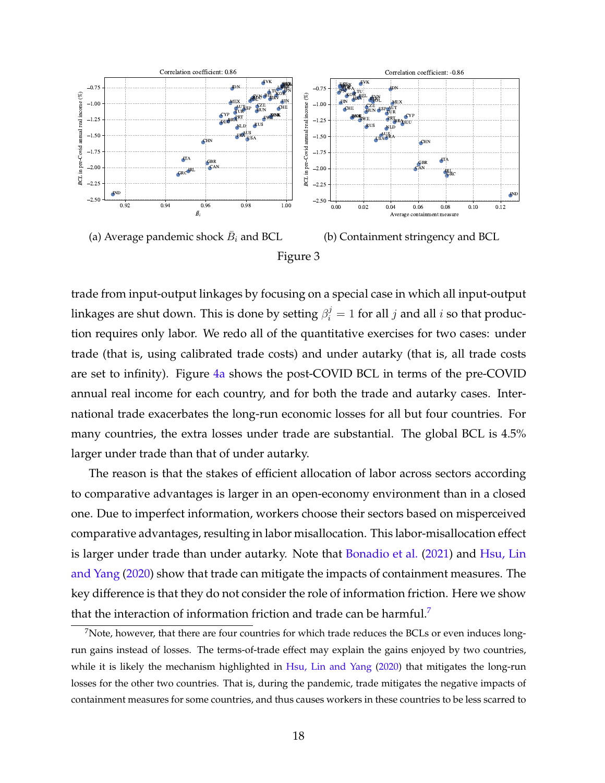<span id="page-17-0"></span>

trade from input-output linkages by focusing on a special case in which all input-output linkages are shut down. This is done by setting  $\beta_i^j = 1$  for all  $j$  and all  $i$  so that production requires only labor. We redo all of the quantitative exercises for two cases: under trade (that is, using calibrated trade costs) and under autarky (that is, all trade costs are set to infinity). Figure [4a](#page-18-0) shows the post-COVID BCL in terms of the pre-COVID annual real income for each country, and for both the trade and autarky cases. International trade exacerbates the long-run economic losses for all but four countries. For many countries, the extra losses under trade are substantial. The global BCL is 4.5% larger under trade than that of under autarky.

The reason is that the stakes of efficient allocation of labor across sectors according to comparative advantages is larger in an open-economy environment than in a closed one. Due to imperfect information, workers choose their sectors based on misperceived comparative advantages, resulting in labor misallocation. This labor-misallocation effect is larger under trade than under autarky. Note that [Bonadio et al.](#page-35-2) ([2021\)](#page-35-2) and [Hsu, Lin](#page-36-2) [and Yang](#page-36-2) [\(2020\)](#page-36-2) show that trade can mitigate the impacts of containment measures. The key difference is that they do not consider the role of information friction. Here we show that the interaction of information friction and trade can be harmful.[7](#page-17-1)

<span id="page-17-1"></span> $<sup>7</sup>$ Note, however, that there are four countries for which trade reduces the BCLs or even induces long-</sup> run gains instead of losses. The terms-of-trade effect may explain the gains enjoyed by two countries, while it is likely the mechanism highlighted in [Hsu, Lin and Yang](#page-36-2) ([2020](#page-36-2)) that mitigates the long-run losses for the other two countries. That is, during the pandemic, trade mitigates the negative impacts of containment measures for some countries, and thus causes workers in these countries to be less scarred to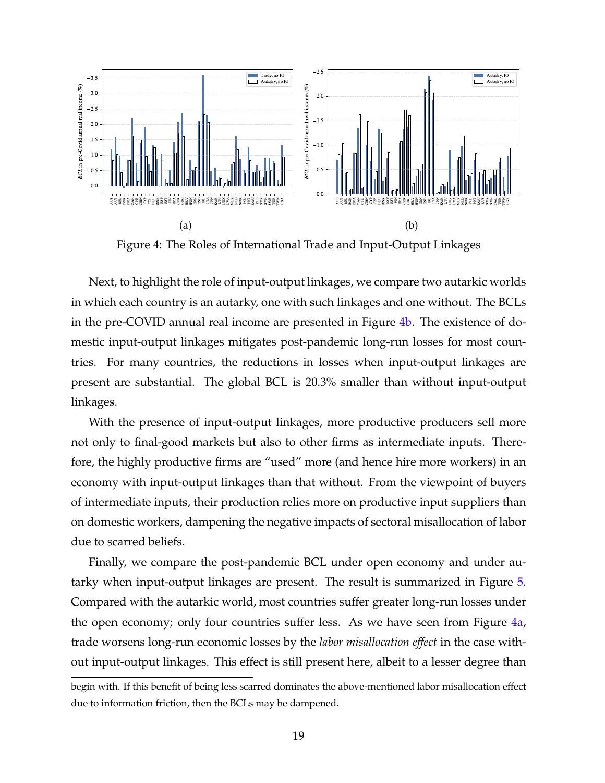<span id="page-18-0"></span>

Figure 4: The Roles of International Trade and Input-Output Linkages

Next, to highlight the role of input-output linkages, we compare two autarkic worlds in which each country is an autarky, one with such linkages and one without. The BCLs in the pre-COVID annual real income are presented in Figure [4b.](#page-18-0) The existence of domestic input-output linkages mitigates post-pandemic long-run losses for most countries. For many countries, the reductions in losses when input-output linkages are present are substantial. The global BCL is 20.3% smaller than without input-output linkages.

With the presence of input-output linkages, more productive producers sell more not only to final-good markets but also to other firms as intermediate inputs. Therefore, the highly productive firms are "used" more (and hence hire more workers) in an economy with input-output linkages than that without. From the viewpoint of buyers of intermediate inputs, their production relies more on productive input suppliers than on domestic workers, dampening the negative impacts of sectoral misallocation of labor due to scarred beliefs.

Finally, we compare the post-pandemic BCL under open economy and under autarky when input-output linkages are present. The result is summarized in Figure [5.](#page-19-0) Compared with the autarkic world, most countries suffer greater long-run losses under the open economy; only four countries suffer less. As we have seen from Figure [4a,](#page-18-0) trade worsens long-run economic losses by the *labor misallocation effect* in the case without input-output linkages. This effect is still present here, albeit to a lesser degree than

begin with. If this benefit of being less scarred dominates the above-mentioned labor misallocation effect due to information friction, then the BCLs may be dampened.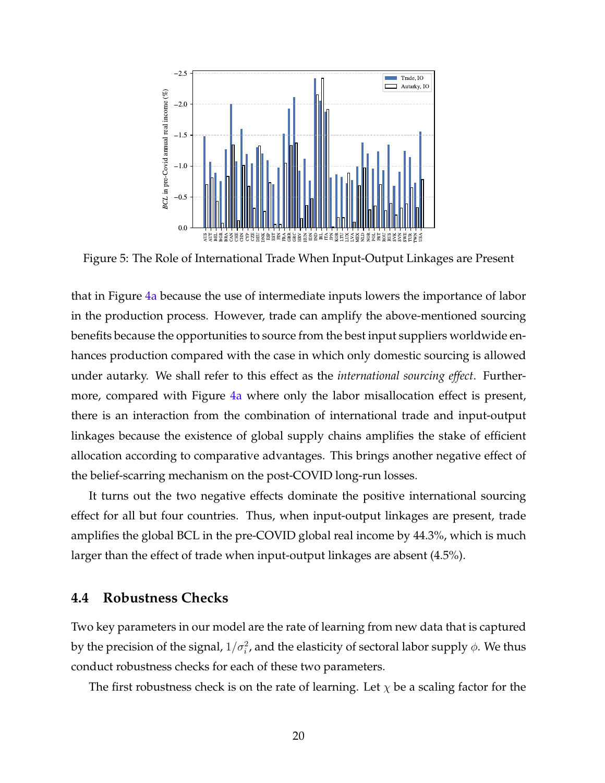<span id="page-19-0"></span>

Figure 5: The Role of International Trade When Input-Output Linkages are Present

that in Figure [4a](#page-18-0) because the use of intermediate inputs lowers the importance of labor in the production process. However, trade can amplify the above-mentioned sourcing benefits because the opportunities to source from the best input suppliers worldwide enhances production compared with the case in which only domestic sourcing is allowed under autarky. We shall refer to this effect as the *international sourcing effect*. Further-more, compared with Figure [4a](#page-18-0) where only the labor misallocation effect is present, there is an interaction from the combination of international trade and input-output linkages because the existence of global supply chains amplifies the stake of efficient allocation according to comparative advantages. This brings another negative effect of the belief-scarring mechanism on the post-COVID long-run losses.

It turns out the two negative effects dominate the positive international sourcing effect for all but four countries. Thus, when input-output linkages are present, trade amplifies the global BCL in the pre-COVID global real income by 44.3%, which is much larger than the effect of trade when input-output linkages are absent (4.5%).

#### **4.4 Robustness Checks**

Two key parameters in our model are the rate of learning from new data that is captured by the precision of the signal,  $1/\sigma_i^2$ , and the elasticity of sectoral labor supply  $\phi$ . We thus conduct robustness checks for each of these two parameters.

The first robustness check is on the rate of learning. Let *χ* be a scaling factor for the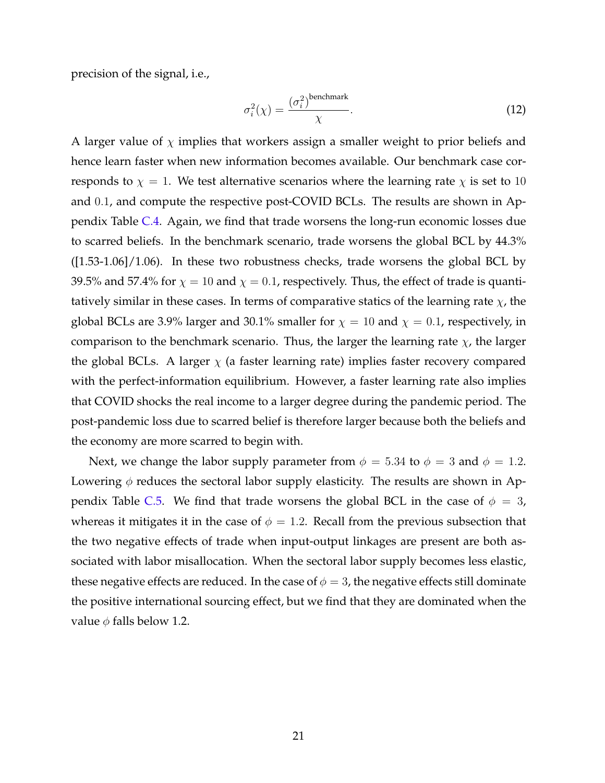precision of the signal, i.e.,

$$
\sigma_i^2(\chi) = \frac{(\sigma_i^2)^{\text{benchmark}}}{\chi}.
$$
\n(12)

A larger value of  $\chi$  implies that workers assign a smaller weight to prior beliefs and hence learn faster when new information becomes available. Our benchmark case corresponds to  $\chi = 1$ . We test alternative scenarios where the learning rate  $\chi$  is set to 10 and 0*.*1, and compute the respective post-COVID BCLs. The results are shown in Appendix Table [C.4](#page-33-0). Again, we find that trade worsens the long-run economic losses due to scarred beliefs. In the benchmark scenario, trade worsens the global BCL by 44.3% ([1.53-1.06]/1.06). In these two robustness checks, trade worsens the global BCL by 39.5% and 57.4% for  $\chi = 10$  and  $\chi = 0.1$ , respectively. Thus, the effect of trade is quantitatively similar in these cases. In terms of comparative statics of the learning rate *χ*, the global BCLs are 3.9% larger and 30.1% smaller for  $\chi = 10$  and  $\chi = 0.1$ , respectively, in comparison to the benchmark scenario. Thus, the larger the learning rate  $\chi$ , the larger the global BCLs. A larger  $\chi$  (a faster learning rate) implies faster recovery compared with the perfect-information equilibrium. However, a faster learning rate also implies that COVID shocks the real income to a larger degree during the pandemic period. The post-pandemic loss due to scarred belief is therefore larger because both the beliefs and the economy are more scarred to begin with.

Next, we change the labor supply parameter from  $\phi = 5.34$  to  $\phi = 3$  and  $\phi = 1.2$ . Lowering  $\phi$  reduces the sectoral labor supply elasticity. The results are shown in Ap-pendix Table [C.5.](#page-34-0) We find that trade worsens the global BCL in the case of  $\phi = 3$ , whereas it mitigates it in the case of  $\phi = 1.2$ . Recall from the previous subsection that the two negative effects of trade when input-output linkages are present are both associated with labor misallocation. When the sectoral labor supply becomes less elastic, these negative effects are reduced. In the case of  $\phi = 3$ , the negative effects still dominate the positive international sourcing effect, but we find that they are dominated when the value  $\phi$  falls below 1.2.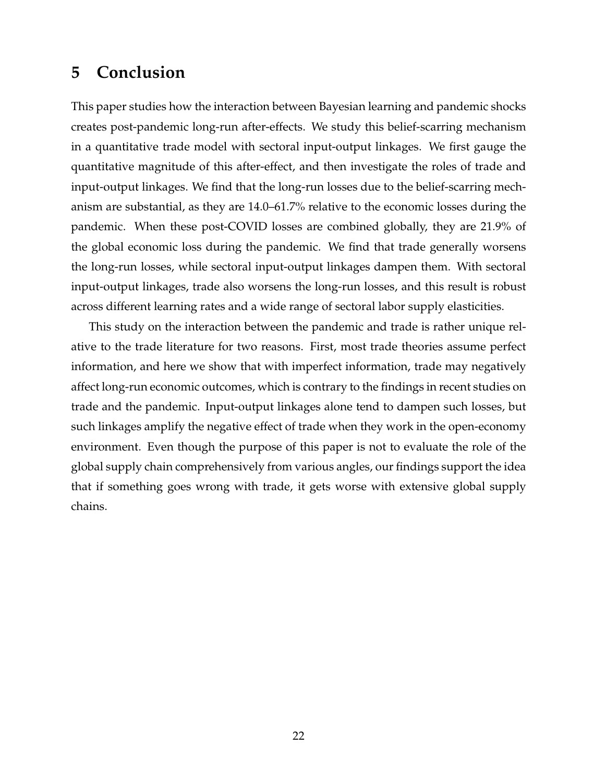### **5 Conclusion**

This paper studies how the interaction between Bayesian learning and pandemic shocks creates post-pandemic long-run after-effects. We study this belief-scarring mechanism in a quantitative trade model with sectoral input-output linkages. We first gauge the quantitative magnitude of this after-effect, and then investigate the roles of trade and input-output linkages. We find that the long-run losses due to the belief-scarring mechanism are substantial, as they are 14.0–61.7% relative to the economic losses during the pandemic. When these post-COVID losses are combined globally, they are 21.9% of the global economic loss during the pandemic. We find that trade generally worsens the long-run losses, while sectoral input-output linkages dampen them. With sectoral input-output linkages, trade also worsens the long-run losses, and this result is robust across different learning rates and a wide range of sectoral labor supply elasticities.

This study on the interaction between the pandemic and trade is rather unique relative to the trade literature for two reasons. First, most trade theories assume perfect information, and here we show that with imperfect information, trade may negatively affect long-run economic outcomes, which is contrary to the findings in recent studies on trade and the pandemic. Input-output linkages alone tend to dampen such losses, but such linkages amplify the negative effect of trade when they work in the open-economy environment. Even though the purpose of this paper is not to evaluate the role of the global supply chain comprehensively from various angles, our findings support the idea that if something goes wrong with trade, it gets worse with extensive global supply chains.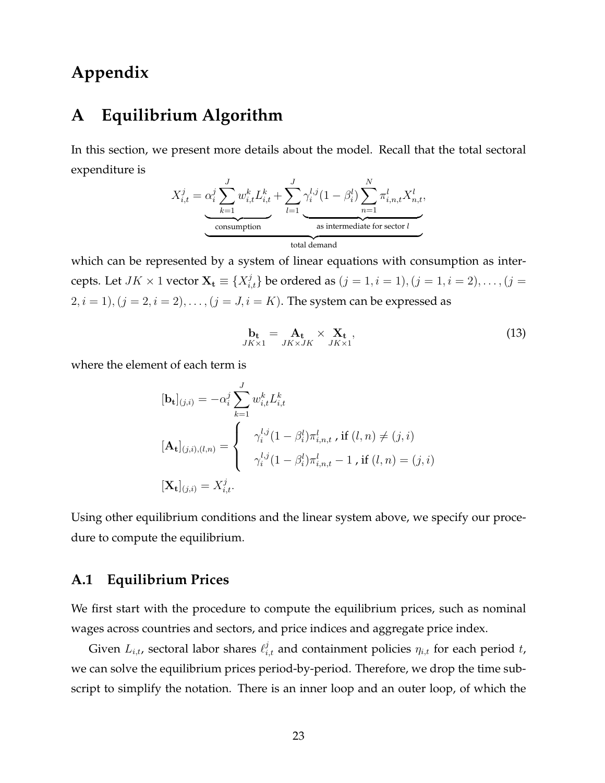### **Appendix**

### <span id="page-22-0"></span>**A Equilibrium Algorithm**

In this section, we present more details about the model. Recall that the total sectoral expenditure is

$$
X_{i,t}^j = \underbrace{\alpha_i^j \sum_{k=1}^J w_{i,t}^k L_{i,t}^k}_{\text{consumption}} + \underbrace{\sum_{l=1}^J \gamma_i^{l,j} (1 - \beta_i^l) \sum_{n=1}^N \pi_{i,n,t}^l X_{n,t}^l}_{\text{as intermediate for sector } l},
$$

which can be represented by a system of linear equations with consumption as intercepts. Let  $JK \times 1$  vector  $\mathbf{X_t} \equiv \{X_{i,t}^j\}$  be ordered as  $(j = 1, i = 1), (j = 1, i = 2), \ldots, (j = 1)$ 2,  $i = 1$ ,  $(j = 2, i = 2)$ , . . . ,  $(j = J, i = K)$ . The system can be expressed as

$$
\mathbf{b}_{\mathbf{t}} = \mathbf{A}_{\mathbf{t}} \times \mathbf{X}_{\mathbf{t}},
$$
  
\n
$$
JK \times 1 \quad JK \times JK \quad JK \times 1
$$
\n(13)

where the element of each term is

$$
[\mathbf{b}_{t}]_{(j,i)} = -\alpha_{i}^{j} \sum_{k=1}^{J} w_{i,t}^{k} L_{i,t}^{k}
$$

$$
[\mathbf{A}_{t}]_{(j,i),(l,n)} = \begin{cases} \gamma_{i}^{l,j} (1 - \beta_{i}^{l}) \pi_{i,n,t}^{l}, \text{ if } (l,n) \neq (j,i) \\ \gamma_{i}^{l,j} (1 - \beta_{i}^{l}) \pi_{i,n,t}^{l} - 1, \text{ if } (l,n) = (j,i) \end{cases}
$$

$$
[\mathbf{X}_{t}]_{(j,i)} = X_{i,t}^{j}.
$$

Using other equilibrium conditions and the linear system above, we specify our procedure to compute the equilibrium.

#### **A.1 Equilibrium Prices**

We first start with the procedure to compute the equilibrium prices, such as nominal wages across countries and sectors, and price indices and aggregate price index.

Given  $L_{i,t}$ , sectoral labor shares  $\ell_{i,t}^j$  and containment policies  $\eta_{i,t}$  for each period  $t$ , we can solve the equilibrium prices period-by-period. Therefore, we drop the time subscript to simplify the notation. There is an inner loop and an outer loop, of which the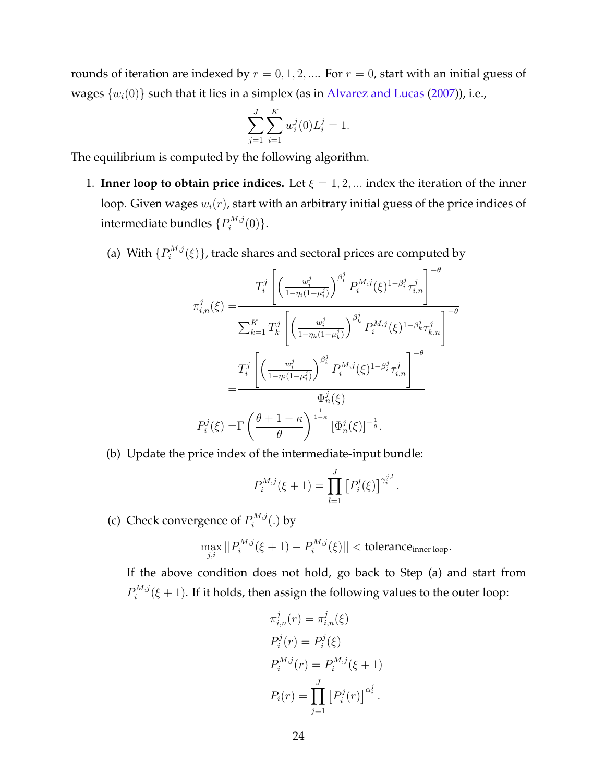rounds of iteration are indexed by  $r = 0, 1, 2, \dots$  For  $r = 0$ , start with an initial guess of wages  $\{w_i(0)\}$  such that it lies in a simplex (as in [Alvarez and Lucas](#page-35-9) ([2007\)](#page-35-9)), i.e.,

$$
\sum_{j=1}^{J} \sum_{i=1}^{K} w_i^j(0) L_i^j = 1.
$$

The equilibrium is computed by the following algorithm.

- 1. **Inner loop to obtain price indices.** Let  $\xi = 1, 2, \dots$  index the iteration of the inner loop. Given wages *wi*(*r*), start with an arbitrary initial guess of the price indices of intermediate bundles  $\{P_i^{M,j}\}$  $\hat{q}^{M,j}(0)\}.$ 
	- (a) With  $\{P_i^{M,j}\}$  $\mathcal{L}^{M,j}_i(\xi)\}$ , trade shares and sectoral prices are computed by

$$
\pi_{i,n}^{j}(\xi) = \frac{T_i^j \left[ \left( \frac{w_i^j}{1 - \eta_i (1 - \mu_i^j)} \right)^{\beta_i^j} P_i^{M,j}(\xi)^{1 - \beta_i^j} \tau_{i,n}^j \right]^{-\theta}}{\sum_{k=1}^K T_k^j \left[ \left( \frac{w_i^j}{1 - \eta_k (1 - \mu_k^j)} \right)^{\beta_k^j} P_i^{M,j}(\xi)^{1 - \beta_k^j} \tau_{k,n}^j \right]^{-\theta}}
$$

$$
= \frac{T_i^j \left[ \left( \frac{w_i^j}{1 - \eta_i (1 - \mu_i^j)} \right)^{\beta_i^j} P_i^{M,j}(\xi)^{1 - \beta_i^j} \tau_{i,n}^j \right]^{-\theta}}{\Phi_n^j(\xi)}
$$

$$
P_i^j(\xi) = \Gamma \left( \frac{\theta + 1 - \kappa}{\theta} \right)^{\frac{1}{1 - \kappa}} [\Phi_n^j(\xi)]^{-\frac{1}{\theta}}.
$$

(b) Update the price index of the intermediate-input bundle:

$$
P_i^{M,j}(\xi+1) = \prod_{l=1}^J [P_i^l(\xi)]^{\gamma_i^{j,l}}
$$

*.*

(c) Check convergence of  $P_i^{M,j}$  $b_i^{M,j}(.)$  by

$$
\max_{j,i} ||P_i^{M,j}(\xi+1) - P_i^{M,j}(\xi)|| < \text{tolerance}_{\text{inner loop}}.
$$

If the above condition does not hold, go back to Step (a) and start from  $P_i^{M,j}$  $\mathcal{L}^{M,j}(\xi+1)$ . If it holds, then assign the following values to the outer loop:

$$
\pi_{i,n}^j(r) = \pi_{i,n}^j(\xi)
$$
  
\n
$$
P_i^j(r) = P_i^j(\xi)
$$
  
\n
$$
P_i^{M,j}(r) = P_i^{M,j}(\xi + 1)
$$
  
\n
$$
P_i(r) = \prod_{j=1}^J [P_i^j(r)]^{\alpha_i^j}.
$$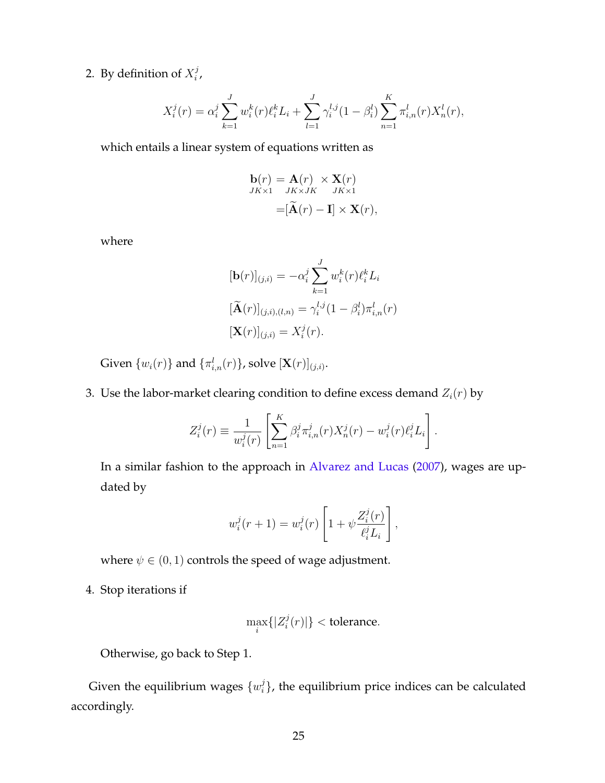2. By definition of  $X_i^j$ *i* ,

$$
X_i^j(r) = \alpha_i^j \sum_{k=1}^J w_i^k(r) \ell_i^k L_i + \sum_{l=1}^J \gamma_i^{l,j} (1 - \beta_i^l) \sum_{n=1}^K \pi_{i,n}^l(r) X_n^l(r),
$$

which entails a linear system of equations written as

$$
\mathbf{b}(r) = \mathbf{A}(r) \times \mathbf{X}(r)
$$
  
\n
$$
JK \times 1 \quad JK \times JK \quad JK \times 1
$$
  
\n
$$
= [\widetilde{\mathbf{A}}(r) - \mathbf{I}] \times \mathbf{X}(r),
$$

where

$$
[\mathbf{b}(r)]_{(j,i)} = -\alpha_i^j \sum_{k=1}^J w_i^k(r) \ell_i^k L_i
$$
  

$$
[\widetilde{\mathbf{A}}(r)]_{(j,i),(l,n)} = \gamma_i^{l,j} (1 - \beta_i^l) \pi_{i,n}^l(r)
$$
  

$$
[\mathbf{X}(r)]_{(j,i)} = X_i^j(r).
$$

Given  $\{w_i(r)\}$  and  $\{\pi_{i,n}^l(r)\}$ , solve  $[\mathbf{X}(r)]_{(j,i)}$ .

3. Use the labor-market clearing condition to define excess demand  $Z_i(r)$  by

$$
Z_i^j(r) \equiv \frac{1}{w_i^j(r)} \left[ \sum_{n=1}^K \beta_i^j \pi_{i,n}^j(r) X_n^j(r) - w_i^j(r) \ell_i^j L_i \right].
$$

In a similar fashion to the approach in [Alvarez and Lucas](#page-35-9) ([2007\)](#page-35-9), wages are updated by

$$
w_i^j(r+1) = w_i^j(r) \left[ 1 + \psi \frac{Z_i^j(r)}{\ell_i^j L_i} \right],
$$

where  $\psi \in (0,1)$  controls the speed of wage adjustment.

4. Stop iterations if

$$
\max_i\{|Z_i^j(r)|\} < \text{tolerance}.
$$

Otherwise, go back to Step 1.

Given the equilibrium wages  $\{w_i^j\}$ *i }*, the equilibrium price indices can be calculated accordingly.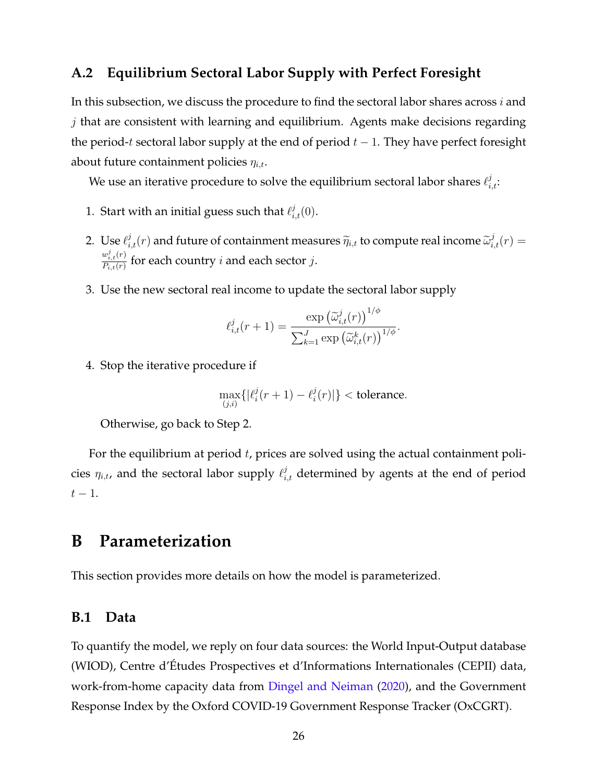#### <span id="page-25-1"></span>**A.2 Equilibrium Sectoral Labor Supply with Perfect Foresight**

In this subsection, we discuss the procedure to find the sectoral labor shares across *i* and *j* that are consistent with learning and equilibrium. Agents make decisions regarding the period-*t* sectoral labor supply at the end of period *t −* 1. They have perfect foresight about future containment policies *ηi,t*.

We use an iterative procedure to solve the equilibrium sectoral labor shares  $\ell_{i,t}^j$ :

- 1. Start with an initial guess such that  $\ell_{i,t}^j(0)$ .
- 2. Use  $\ell_{i,t}^j(r)$  and future of containment measures  $\widetilde{\eta}_{i,t}$  to compute real income  $\widetilde{\omega}_{i,t}^j(r) =$  $w_{i,t}^j(r)$  $\frac{w_{i,t}(r)}{P_{i,t}(r)}$  for each country *i* and each sector *j*.
- 3. Use the new sectoral real income to update the sectoral labor supply

$$
\ell_{i,t}^j(r+1) = \frac{\exp\left(\widetilde{\omega}_{i,t}^j(r)\right)^{1/\phi}}{\sum_{k=1}^J \exp\left(\widetilde{\omega}_{i,t}^k(r)\right)^{1/\phi}}.
$$

4. Stop the iterative procedure if

$$
\max_{(j,i)}\{|\ell_i^j(r+1) - \ell_i^j(r)|\} < \text{tolerance}.
$$

Otherwise, go back to Step 2.

For the equilibrium at period *t*, prices are solved using the actual containment policies  $\eta_{i,t}$ , and the sectoral labor supply  $\ell_{i,t}^j$  determined by agents at the end of period *t −* 1.

### <span id="page-25-0"></span>**B Parameterization**

This section provides more details on how the model is parameterized.

#### **B.1 Data**

To quantify the model, we reply on four data sources: the World Input-Output database (WIOD), Centre d'Études Prospectives et d'Informations Internationales (CEPII) data, work-from-home capacity data from [Dingel and Neiman](#page-35-1) ([2020\)](#page-35-1), and the Government Response Index by the Oxford COVID-19 Government Response Tracker (OxCGRT).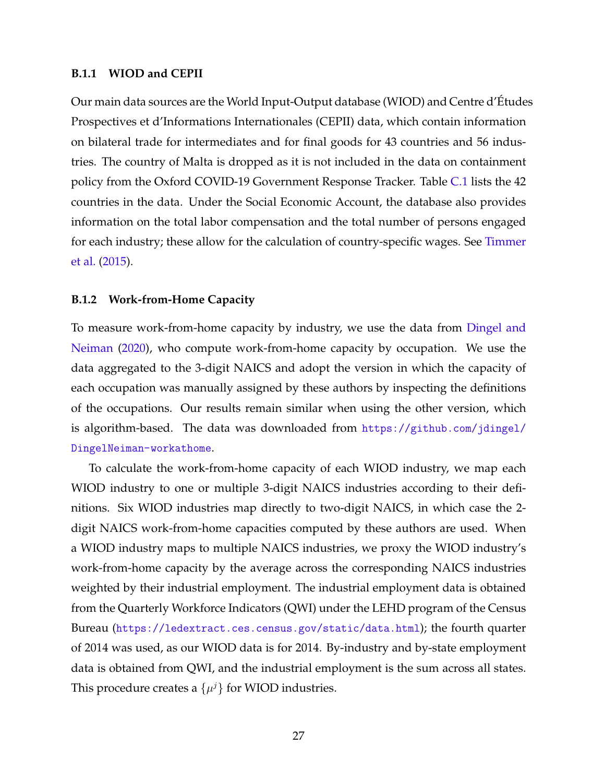#### <span id="page-26-0"></span>**B.1.1 WIOD and CEPII**

Our main data sources are the World Input-Output database (WIOD) and Centre d'Études Prospectives et d'Informations Internationales (CEPII) data, which contain information on bilateral trade for intermediates and for final goods for 43 countries and 56 industries. The country of Malta is dropped as it is not included in the data on containment policy from the Oxford COVID-19 Government Response Tracker. Table [C.1](#page-30-0) lists the 42 countries in the data. Under the Social Economic Account, the database also provides information on the total labor compensation and the total number of persons engaged for each industry; these allow for the calculation of country-specific wages. See [Timmer](#page-37-5) [et al.](#page-37-5) [\(2015\)](#page-37-5).

#### **B.1.2 Work-from-Home Capacity**

To measure work-from-home capacity by industry, we use the data from [Dingel and](#page-35-1) [Neiman](#page-35-1) [\(2020](#page-35-1)), who compute work-from-home capacity by occupation. We use the data aggregated to the 3-digit NAICS and adopt the version in which the capacity of each occupation was manually assigned by these authors by inspecting the definitions of the occupations. Our results remain similar when using the other version, which is algorithm-based. The data was downloaded from [https://github.com/jdingel/](https://github.com/jdingel/DingelNeiman-workathome) [DingelNeiman-workathome](https://github.com/jdingel/DingelNeiman-workathome).

To calculate the work-from-home capacity of each WIOD industry, we map each WIOD industry to one or multiple 3-digit NAICS industries according to their definitions. Six WIOD industries map directly to two-digit NAICS, in which case the 2 digit NAICS work-from-home capacities computed by these authors are used. When a WIOD industry maps to multiple NAICS industries, we proxy the WIOD industry's work-from-home capacity by the average across the corresponding NAICS industries weighted by their industrial employment. The industrial employment data is obtained from the Quarterly Workforce Indicators (QWI) under the LEHD program of the Census Bureau (<https://ledextract.ces.census.gov/static/data.html>); the fourth quarter of 2014 was used, as our WIOD data is for 2014. By-industry and by-state employment data is obtained from QWI, and the industrial employment is the sum across all states. This procedure creates a  $\{\mu^j\}$  for WIOD industries.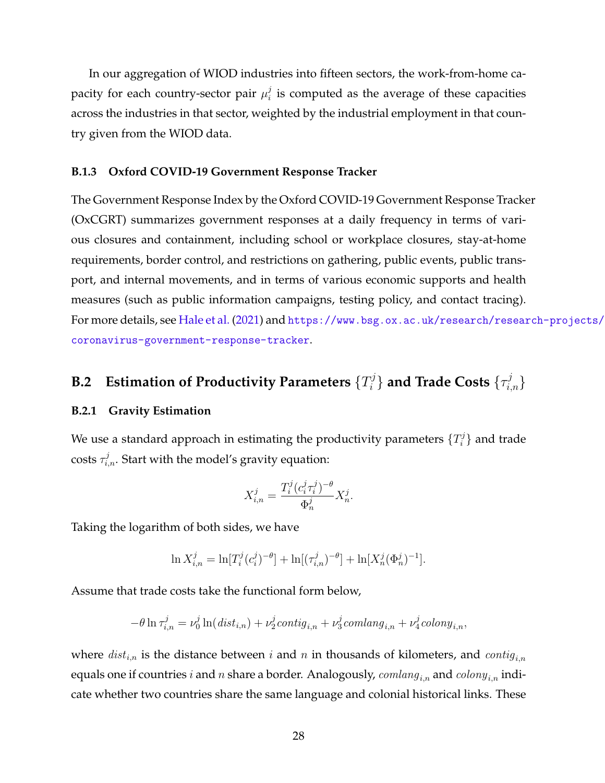In our aggregation of WIOD industries into fifteen sectors, the work-from-home capacity for each country-sector pair  $\mu_i^j$  $\mathbf{F}_i^j$  is computed as the average of these capacities across the industries in that sector, weighted by the industrial employment in that country given from the WIOD data.

#### **B.1.3 Oxford COVID-19 Government Response Tracker**

The Government Response Index by the Oxford COVID-19 Government Response Tracker (OxCGRT) summarizes government responses at a daily frequency in terms of various closures and containment, including school or workplace closures, stay-at-home requirements, border control, and restrictions on gathering, public events, public transport, and internal movements, and in terms of various economic supports and health measures (such as public information campaigns, testing policy, and contact tracing). For more details, see [Hale et al.](#page-36-1) ([2021\)](#page-36-1) and [https://www.bsg.ox.ac.uk/research/research-projects/](https://www.bsg.ox.ac.uk/research/research-projects/coronavirus-government-response-tracker) [coronavirus-government-response-tracker](https://www.bsg.ox.ac.uk/research/research-projects/coronavirus-government-response-tracker).

#### <span id="page-27-0"></span>**B.2 Estimation of Productivity Parameters** *{T j*  $\{ \tau_{i,n}^j \}$  and Trade Costs  $\{ \tau_{i,n}^j \}$

#### **B.2.1 Gravity Estimation**

We use a standard approach in estimating the productivity parameters  $\{T_i^j\}$ *i }* and trade  $\cos$ ts  $\tau_{i,n}^j$ . Start with the model's gravity equation:

$$
X_{i,n}^j = \frac{T_i^j (c_i^j \tau_i^j)^{-\theta}}{\Phi_n^j} X_n^j.
$$

Taking the logarithm of both sides, we have

$$
\ln X_{i,n}^j = \ln[T_i^j(c_i^j)^{-\theta}] + \ln[(\tau_{i,n}^j)^{-\theta}] + \ln[X_n^j(\Phi_n^j)^{-1}].
$$

Assume that trade costs take the functional form below,

$$
-\theta \ln \tau_{i,n}^j = \nu_0^j \ln (dist_{i,n}) + \nu_2^j contig_{i,n} + \nu_3^j comlang_{i,n} + \nu_4^j colony_{i,n},
$$

where  $dist_{i,n}$  is the distance between *i* and *n* in thousands of kilometers, and *contig*<sub>*i*,*n*</sub> equals one if countries *i* and *n* share a border. Analogously, *comlangi,n* and *colonyi,n* indicate whether two countries share the same language and colonial historical links. These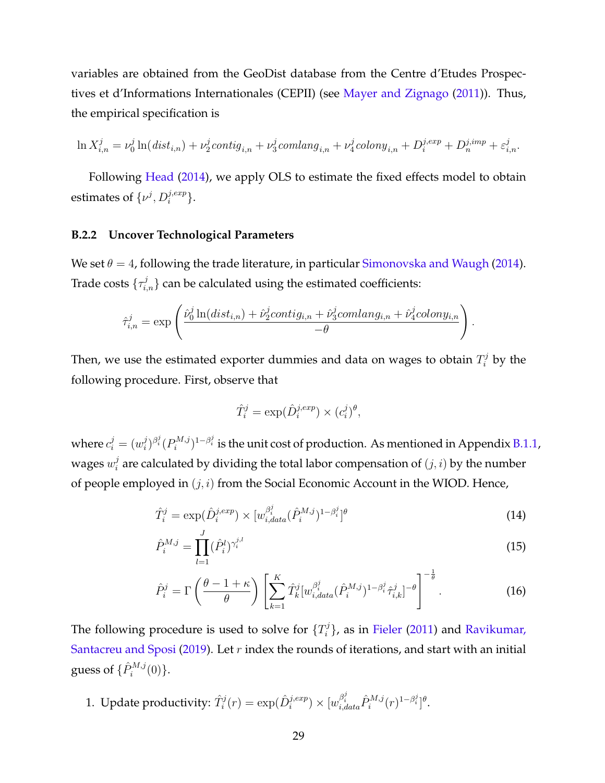variables are obtained from the GeoDist database from the Centre d'Etudes Prospectives et d'Informations Internationales (CEPII) (see [Mayer and Zignago](#page-37-6) [\(2011\)](#page-37-6)). Thus, the empirical specification is

$$
\ln X^j_{i,n} = \nu_0^j \ln \left( dist_{i,n} \right) + \nu_2^j contig_{i,n} + \nu_3^j comlang_{i,n} + \nu_4^j colony_{i,n} + D^{j,exp}_i + D^{j,imp}_n + \varepsilon^j_{i,n}.
$$

Following [Head](#page-36-10) ([2014\)](#page-36-10), we apply OLS to estimate the fixed effects model to obtain estimates of  $\{\nu^j, D_i^{j,exp}\}.$ 

#### **B.2.2 Uncover Technological Parameters**

We set  $\theta = 4$ , following the trade literature, in particular [Simonovska and Waugh](#page-37-3) ([2014\)](#page-37-3). Trade costs  $\{\tau_{i,n}^j\}$  can be calculated using the estimated coefficients:

$$
\hat{\tau}_{i,n}^j = \exp\left(\frac{\hat{\nu}_0^j \ln(dist_{i,n}) + \hat{\nu}_2^j contig_{i,n} + \hat{\nu}_3^j comlang_{i,n} + \hat{\nu}_4^j colony_{i,n}}{-\theta}\right)
$$

Then, we use the estimated exporter dummies and data on wages to obtain  $T_i^j$  by the following procedure. First, observe that

$$
\hat{T}_i^j = \exp(\hat{D}_i^{j,exp}) \times (c_i^j)^{\theta},
$$

where  $c_i^j = (w_i^j)$  $\int_i^j\bigl\beta_i^j\bigl(P_i^{M,j}\bigr)$  $\delta^{M,j}_i$ )<sup>1−βį</sup> is the unit cost of production. As mentioned in Appendix [B.1.1,](#page-26-0) wages  $w_i^j$  $a_i^j$  are calculated by dividing the total labor compensation of  $(j,i)$  by the number of people employed in (*j, i*) from the Social Economic Account in the WIOD. Hence,

$$
\hat{T}_i^j = \exp(\hat{D}_i^{j,exp}) \times [w_{i,data}^{\beta_i^j}(\hat{P}_i^{M,j})^{1-\beta_i^j}]^{\theta}
$$
\n(14)

<span id="page-28-2"></span><span id="page-28-1"></span><span id="page-28-0"></span>*.*

$$
\hat{P}_i^{M,j} = \prod_{l=1}^J (\hat{P}_i^l)^{\gamma_i^{j,l}}
$$
\n(15)

$$
\hat{P}_i^j = \Gamma\left(\frac{\theta - 1 + \kappa}{\theta}\right) \left[\sum_{k=1}^K \hat{T}_k^j [w_{i, data}^{\beta_i^j} (\hat{P}_i^{M,j})^{1 - \beta_i^j} \hat{\tau}_{i,k}^j]^{-\theta}\right]^{-\frac{1}{\theta}}.
$$
\n(16)

The following procedure is used to solve for  $\{T_i^j\}$ *i }*, as in [Fieler](#page-36-9) [\(2011](#page-36-9)) and [Ravikumar,](#page-37-4) [Santacreu and Sposi](#page-37-4) [\(2019](#page-37-4)). Let *r* index the rounds of iterations, and start with an initial guess of  $\{\hat{P}_{i}^{M,j}(0)\}.$ 

1. Update productivity:  $\hat{T}_i^j(r) = \exp(\hat{D}_i^{j,exp}) \times [w_{i,data}^{\beta_i^j} \hat{P}_i^{M,j}(r)^{1-\beta_i^j}]^{\theta}$ .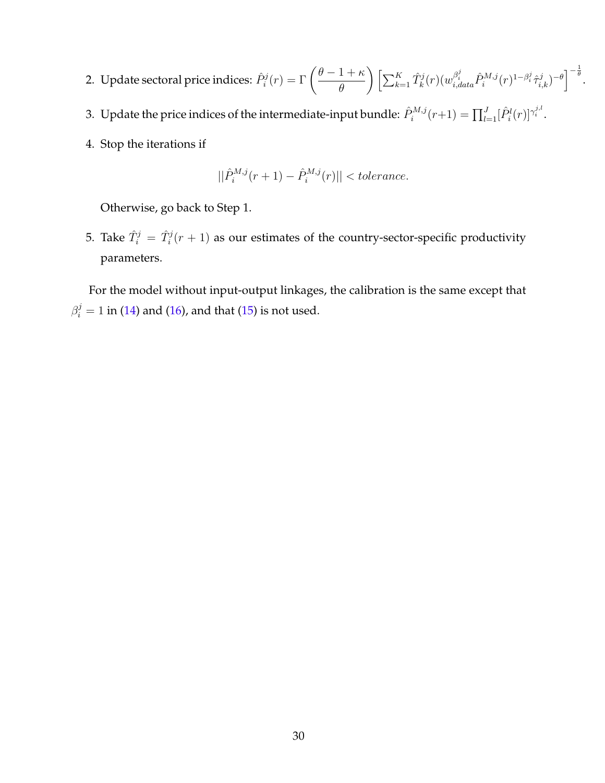- 2. Update sectoral price indices:  $\hat{P}_i^j(r) = \Gamma\left(\frac{\theta-1+\kappa}{\theta}\right)$ *θ*  $\bigg(\Big[\sum_{k=1}^K\hat{T}^j_k(r)(w^{\beta^j_i}_{i,data}\hat{P}^{M,j}_i(r)^{1-\beta^j_i}\hat{\tau}^j_{i,k})^{-\theta}\Big]^{-\frac{1}{\theta}}.$
- 3. Update the price indices of the intermediate-input bundle:  $\hat{P}_i^{M,j}(r+1) = \prod_{l=1}^J [\hat{P}_i^l(r)]^{\gamma_i^{j,l}}$ .
- 4. Stop the iterations if

$$
||\hat{P}_i^{M,j}(r+1) - \hat{P}_i^{M,j}(r)|| < tolerance.
$$

Otherwise, go back to Step 1.

5. Take  $\hat{T}^j_i = \hat{T}^j_i(r+1)$  as our estimates of the country-sector-specific productivity parameters.

For the model without input-output linkages, the calibration is the same except that  $\beta_i^j = 1$  in ([14\)](#page-28-0) and ([16\)](#page-28-1), and that ([15\)](#page-28-2) is not used.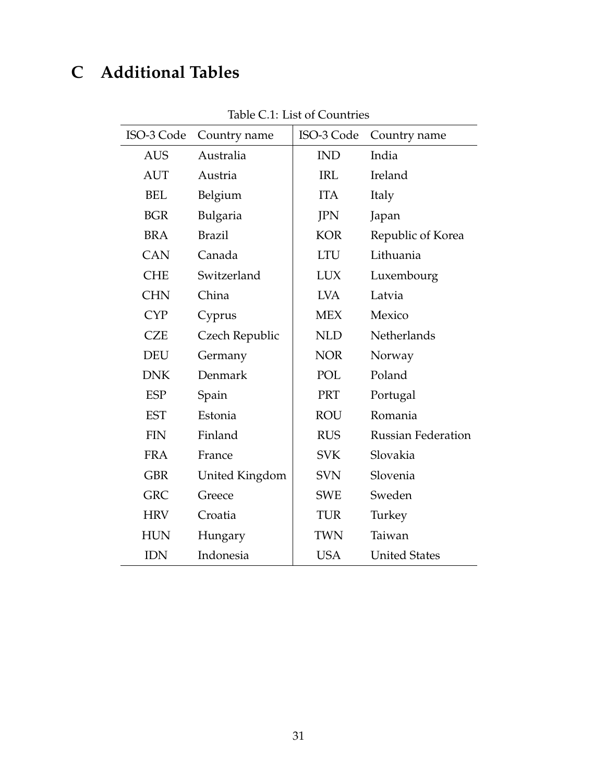## <span id="page-30-0"></span>**C Additional Tables**

| ISO-3 Code | Country name   | ISO-3 Code | Country name              |  |  |  |
|------------|----------------|------------|---------------------------|--|--|--|
| <b>AUS</b> | Australia      | <b>IND</b> | India                     |  |  |  |
| <b>AUT</b> | Austria        | <b>IRL</b> | Ireland                   |  |  |  |
| <b>BEL</b> | Belgium        | <b>ITA</b> | Italy                     |  |  |  |
| <b>BGR</b> | Bulgaria       | <b>JPN</b> | Japan                     |  |  |  |
| <b>BRA</b> | <b>Brazil</b>  | <b>KOR</b> | Republic of Korea         |  |  |  |
| <b>CAN</b> | Canada         | <b>LTU</b> | Lithuania                 |  |  |  |
| <b>CHE</b> | Switzerland    | <b>LUX</b> | Luxembourg                |  |  |  |
| <b>CHN</b> | China          | <b>LVA</b> | Latvia                    |  |  |  |
| <b>CYP</b> | Cyprus         | <b>MEX</b> | Mexico                    |  |  |  |
| <b>CZE</b> | Czech Republic | <b>NLD</b> | Netherlands               |  |  |  |
| <b>DEU</b> | Germany        | <b>NOR</b> | Norway                    |  |  |  |
| <b>DNK</b> | Denmark        | POL        | Poland                    |  |  |  |
| <b>ESP</b> | Spain          | PRT        | Portugal                  |  |  |  |
| <b>EST</b> | Estonia        | <b>ROU</b> | Romania                   |  |  |  |
| <b>FIN</b> | Finland        | <b>RUS</b> | <b>Russian Federation</b> |  |  |  |
| <b>FRA</b> | France         | <b>SVK</b> | Slovakia                  |  |  |  |
| <b>GBR</b> | United Kingdom | <b>SVN</b> | Slovenia                  |  |  |  |
| <b>GRC</b> | Greece         | <b>SWE</b> | Sweden                    |  |  |  |
| <b>HRV</b> | Croatia        | <b>TUR</b> | Turkey                    |  |  |  |
| <b>HUN</b> | Hungary        | <b>TWN</b> | Taiwan                    |  |  |  |
| <b>IDN</b> | Indonesia      | <b>USA</b> | <b>United States</b>      |  |  |  |

Table C.1: List of Countries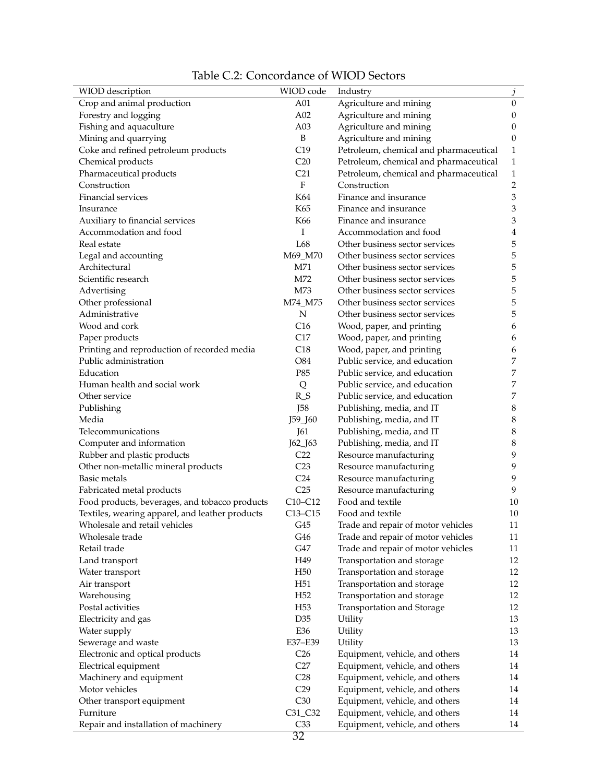|  | Table C.2: Concordance of WIOD Sectors |  |  |
|--|----------------------------------------|--|--|
|  |                                        |  |  |

<span id="page-31-0"></span>

| WIOD description                                | WIOD code           | Industry                               | $\boldsymbol{j}$ |
|-------------------------------------------------|---------------------|----------------------------------------|------------------|
| Crop and animal production                      | A01                 | Agriculture and mining                 | $\boldsymbol{0}$ |
| Forestry and logging                            | A02                 | Agriculture and mining                 | 0                |
| Fishing and aquaculture                         | A03                 | Agriculture and mining                 | 0                |
| Mining and quarrying                            | B                   | Agriculture and mining                 | 0                |
| Coke and refined petroleum products             | C19                 | Petroleum, chemical and pharmaceutical | 1                |
| Chemical products                               | C <sub>20</sub>     | Petroleum, chemical and pharmaceutical | 1                |
| Pharmaceutical products                         | C <sub>21</sub>     | Petroleum, chemical and pharmaceutical | 1                |
| Construction                                    | $\rm F$             | Construction                           | 2                |
| Financial services                              | K64                 | Finance and insurance                  | 3                |
| Insurance                                       | K65                 | Finance and insurance                  | 3                |
| Auxiliary to financial services                 | K66                 | Finance and insurance                  | 3                |
| Accommodation and food                          | I                   | Accommodation and food                 | 4                |
| Real estate                                     | L68                 | Other business sector services         | 5                |
| Legal and accounting                            | M69_M70             | Other business sector services         | 5                |
| Architectural                                   | M71                 | Other business sector services         | 5                |
| Scientific research                             | M72                 | Other business sector services         | 5                |
| Advertising                                     | M73                 | Other business sector services         | 5                |
| Other professional                              | M74_M75             | Other business sector services         | 5                |
| Administrative                                  | ${\bf N}$           | Other business sector services         | 5                |
| Wood and cork                                   | C16                 | Wood, paper, and printing              | 6                |
| Paper products                                  | C17                 | Wood, paper, and printing              | 6                |
| Printing and reproduction of recorded media     | C18                 | Wood, paper, and printing              | 6                |
| Public administration                           | O84                 | Public service, and education          | 7                |
| Education                                       | P85                 | Public service, and education          | 7                |
| Human health and social work                    | Q                   | Public service, and education          | 7                |
| Other service                                   |                     | Public service, and education          | 7                |
|                                                 | $R_S$<br><b>J58</b> |                                        |                  |
| Publishing<br>Media                             |                     | Publishing, media, and IT              | 8                |
| Telecommunications                              | J59_J60<br>J61      | Publishing, media, and IT              | 8<br>8           |
|                                                 |                     | Publishing, media, and IT              |                  |
| Computer and information                        | J62_J63<br>C22      | Publishing, media, and IT              | 8<br>9           |
| Rubber and plastic products                     |                     | Resource manufacturing                 | 9                |
| Other non-metallic mineral products             | C <sub>23</sub>     | Resource manufacturing                 |                  |
| Basic metals                                    | C <sub>24</sub>     | Resource manufacturing                 | 9<br>9           |
| Fabricated metal products                       | C25                 | Resource manufacturing                 |                  |
| Food products, beverages, and tobacco products  | $C10-C12$           | Food and textile                       | 10               |
| Textiles, wearing apparel, and leather products | $C13-C15$           | Food and textile                       | 10               |
| Wholesale and retail vehicles                   | G45                 | Trade and repair of motor vehicles     | 11               |
| Wholesale trade                                 | G46                 | Trade and repair of motor vehicles     | 11               |
| Retail trade                                    | G47                 | Trade and repair of motor vehicles     | 11               |
| Land transport                                  | H49                 | Transportation and storage             | 12               |
| Water transport                                 | H <sub>50</sub>     | Transportation and storage             | 12               |
| Air transport                                   | H <sub>51</sub>     | Transportation and storage             | 12               |
| Warehousing                                     | H <sub>52</sub>     | Transportation and storage             | 12               |
| Postal activities                               | H <sub>53</sub>     | Transportation and Storage             | 12               |
| Electricity and gas                             | D35                 | Utility                                | 13               |
| Water supply                                    | E36                 | Utility                                | 13               |
| Sewerage and waste                              | E37-E39             | Utility                                | 13               |
| Electronic and optical products                 | C <sub>26</sub>     | Equipment, vehicle, and others         | 14               |
| Electrical equipment                            | C27                 | Equipment, vehicle, and others         | 14               |
| Machinery and equipment                         | C28                 | Equipment, vehicle, and others         | 14               |
| Motor vehicles                                  | C29                 | Equipment, vehicle, and others         | 14               |
| Other transport equipment                       | C30                 | Equipment, vehicle, and others         | 14               |
| Furniture                                       | C31_C32             | Equipment, vehicle, and others         | 14               |
| Repair and installation of machinery            | C33                 | Equipment, vehicle, and others         | 14               |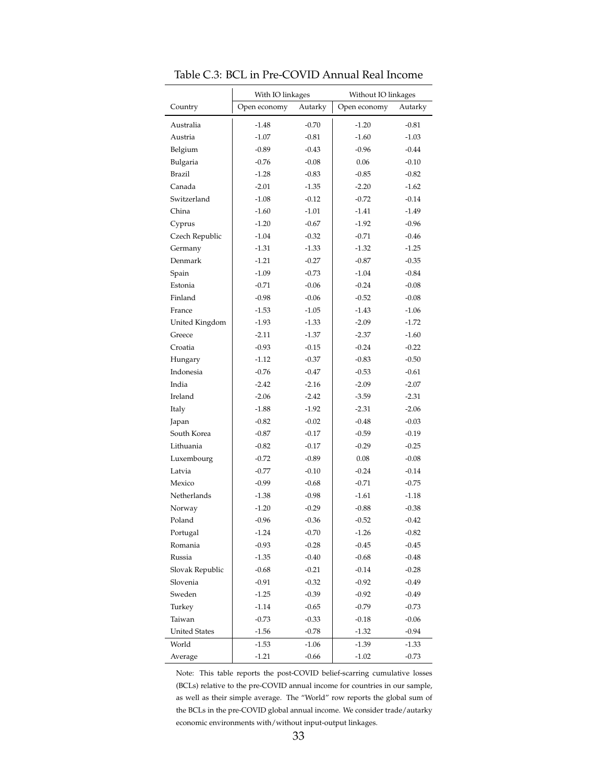|                      | With IO linkages |         | Without IO linkages |         |
|----------------------|------------------|---------|---------------------|---------|
| Country              | Open economy     | Autarky | Open economy        | Autarky |
| Australia            | $-1.48$          | $-0.70$ | $-1.20$             | $-0.81$ |
| Austria              | $-1.07$          | $-0.81$ | $-1.60$             | $-1.03$ |
| Belgium              | $-0.89$          | $-0.43$ | $-0.96$             | $-0.44$ |
| Bulgaria             | $-0.76$          | $-0.08$ | 0.06                | $-0.10$ |
| Brazil               | $-1.28$          | $-0.83$ | $-0.85$             | $-0.82$ |
| Canada               | $-2.01$          | $-1.35$ | $-2.20$             | $-1.62$ |
| Switzerland          | $-1.08$          | $-0.12$ | $-0.72$             | $-0.14$ |
| China                | $-1.60$          | $-1.01$ | $-1.41$             | $-1.49$ |
| Cyprus               | $-1.20$          | $-0.67$ | $-1.92$             | $-0.96$ |
| Czech Republic       | $-1.04$          | $-0.32$ | $-0.71$             | $-0.46$ |
| Germany              | $-1.31$          | $-1.33$ | $-1.32$             | $-1.25$ |
| Denmark              | $-1.21$          | $-0.27$ | $-0.87$             | $-0.35$ |
| Spain                | $-1.09$          | $-0.73$ | $-1.04$             | $-0.84$ |
| Estonia              | $-0.71$          | $-0.06$ | $-0.24$             | $-0.08$ |
| Finland              | $-0.98$          | $-0.06$ | $-0.52$             | $-0.08$ |
| France               | $-1.53$          | $-1.05$ | $-1.43$             | $-1.06$ |
| United Kingdom       | $-1.93$          | $-1.33$ | $-2.09$             | $-1.72$ |
| Greece               | $-2.11$          | $-1.37$ | $-2.37$             | $-1.60$ |
| Croatia              | $-0.93$          | $-0.15$ | $-0.24$             | $-0.22$ |
| Hungary              | $-1.12$          | $-0.37$ | $-0.83$             | $-0.50$ |
| Indonesia            | $-0.76$          | $-0.47$ | $-0.53$             | $-0.61$ |
| India                | $-2.42$          | $-2.16$ | $-2.09$             | $-2.07$ |
| Ireland              | $-2.06$          | $-2.42$ | $-3.59$             | $-2.31$ |
| Italy                | $-1.88$          | $-1.92$ | $-2.31$             | $-2.06$ |
| Japan                | $-0.82$          | $-0.02$ | $-0.48$             | $-0.03$ |
| South Korea          | $-0.87$          | $-0.17$ | $-0.59$             | $-0.19$ |
| Lithuania            | $-0.82$          | $-0.17$ | $-0.29$             | $-0.25$ |
| Luxembourg           | $-0.72$          | $-0.89$ | 0.08                | $-0.08$ |
| Latvia               | $-0.77$          | $-0.10$ | $-0.24$             | $-0.14$ |
| Mexico               | $-0.99$          | $-0.68$ | $-0.71$             | $-0.75$ |
| Netherlands          | $-1.38$          | $-0.98$ | $-1.61$             | $-1.18$ |
| Norway               | $-1.20$          | $-0.29$ | $-0.88$             | $-0.38$ |
| Poland               | $-0.96$          | $-0.36$ | $-0.52$             | $-0.42$ |
| Portugal             | $-1.24$          | $-0.70$ | $-1.26$             | $-0.82$ |
| Romania              | $-0.93$          | $-0.28$ | $-0.45$             | $-0.45$ |
| Russia               | $-1.35$          | $-0.40$ | $-0.68$             | $-0.48$ |
| Slovak Republic      | $-0.68$          | $-0.21$ | $-0.14$             | $-0.28$ |
| Slovenia             | $-0.91$          | $-0.32$ | $-0.92$             | $-0.49$ |
| Sweden               | $-1.25$          | $-0.39$ | $-0.92$             | $-0.49$ |
| Turkey               | $-1.14$          | $-0.65$ | $-0.79$             | $-0.73$ |
| Taiwan               | $-0.73$          | $-0.33$ | $-0.18$             | $-0.06$ |
| <b>United States</b> | $-1.56$          | $-0.78$ | $-1.32$             | $-0.94$ |
| World                | $-1.53$          | $-1.06$ | $-1.39$             | $-1.33$ |
| Average              | $-1.21$          | $-0.66$ | $-1.02$             | $-0.73$ |

<span id="page-32-0"></span>Table C.3: BCL in Pre-COVID Annual Real Income

Note: This table reports the post-COVID belief-scarring cumulative losses (BCLs) relative to the pre-COVID annual income for countries in our sample, as well as their simple average. The "World" row reports the global sum of the BCLs in the pre-COVID global annual income. We consider trade/autarky economic environments with/without input-output linkages.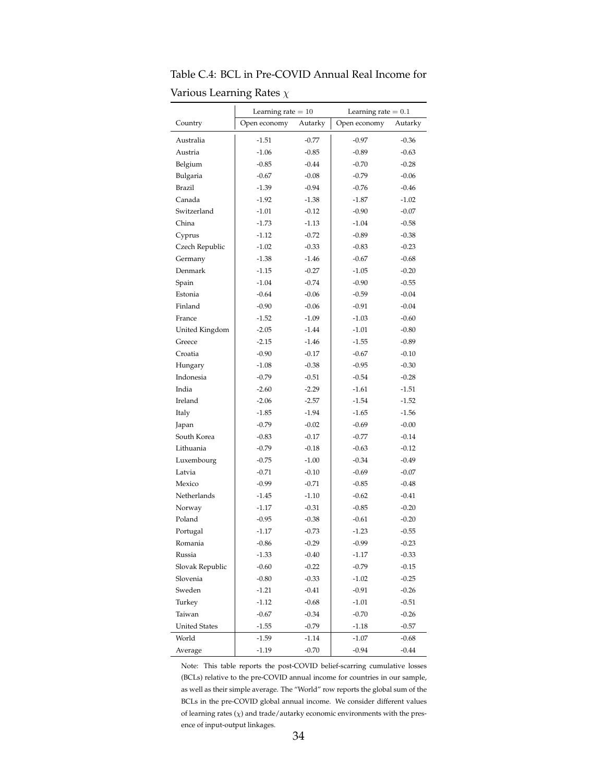|                      | Learning rate $= 10$ |         | Learning rate $= 0.1$ |         |  |  |
|----------------------|----------------------|---------|-----------------------|---------|--|--|
| Country              | Open economy         | Autarky | Open economy          | Autarky |  |  |
| Australia            | $-1.51$              | $-0.77$ | $-0.97$               | $-0.36$ |  |  |
| Austria              | $-1.06$              | $-0.85$ | $-0.89$               | $-0.63$ |  |  |
| Belgium              | $-0.85$              | $-0.44$ | $-0.70$               | $-0.28$ |  |  |
| Bulgaria             | $-0.67$              | $-0.08$ | $-0.79$               | $-0.06$ |  |  |
| Brazil               | $-1.39$              | $-0.94$ | $-0.76$               | $-0.46$ |  |  |
| Canada               | $-1.92$              | $-1.38$ | $-1.87$               | $-1.02$ |  |  |
| Switzerland          | $-1.01$              | $-0.12$ | $-0.90$               | $-0.07$ |  |  |
| China                | $-1.73$              | $-1.13$ | $-1.04$               | $-0.58$ |  |  |
| Cyprus               | $-1.12$              | $-0.72$ | $-0.89$               | $-0.38$ |  |  |
| Czech Republic       | $-1.02$              | $-0.33$ | $-0.83$               | $-0.23$ |  |  |
| Germany              | $-1.38$              | $-1.46$ | $-0.67$               | $-0.68$ |  |  |
| Denmark              | $-1.15$              | $-0.27$ | $-1.05$               | $-0.20$ |  |  |
| Spain                | $-1.04$              | $-0.74$ | $-0.90$               | $-0.55$ |  |  |
| Estonia              | $-0.64$              | $-0.06$ | $-0.59$               | $-0.04$ |  |  |
| Finland              | $-0.90$              | $-0.06$ | $-0.91$               | $-0.04$ |  |  |
| France               | $-1.52$              | $-1.09$ | $-1.03$               | $-0.60$ |  |  |
| United Kingdom       | $-2.05$              | $-1.44$ | $-1.01$               | $-0.80$ |  |  |
| Greece               | $-2.15$              | $-1.46$ | $-1.55$               | $-0.89$ |  |  |
| Croatia              | $-0.90$              | $-0.17$ | $-0.67$               | $-0.10$ |  |  |
| Hungary              | $-1.08$              | $-0.38$ | $-0.95$               | $-0.30$ |  |  |
| Indonesia            | $-0.79$              | $-0.51$ | $-0.54$               | $-0.28$ |  |  |
| India                | $-2.60$              | $-2.29$ | $-1.61$               | $-1.51$ |  |  |
| Ireland              | $-2.06$              | $-2.57$ | $-1.54$               | $-1.52$ |  |  |
| Italy                | $-1.85$              | $-1.94$ | $-1.65$               | $-1.56$ |  |  |
| Japan                | $-0.79$              | $-0.02$ | $-0.69$               | $-0.00$ |  |  |
| South Korea          | $-0.83$              | $-0.17$ | $-0.77$               | $-0.14$ |  |  |
| Lithuania            | $-0.79$              | $-0.18$ | $-0.63$               | $-0.12$ |  |  |
| Luxembourg           | $-0.75$              | $-1.00$ | $-0.34$               | $-0.49$ |  |  |
| Latvia               | $-0.71$              | $-0.10$ | $-0.69$               | $-0.07$ |  |  |
| Mexico               | $-0.99$              | $-0.71$ | $-0.85$               | $-0.48$ |  |  |
| Netherlands          | $-1.45$              | $-1.10$ | $-0.62$               | $-0.41$ |  |  |
| Norway               | $-1.17$              | $-0.31$ | $-0.85$               | $-0.20$ |  |  |
| Poland               | $-0.95$              | $-0.38$ | $-0.61$               | $-0.20$ |  |  |
| Portugal             | $-1.17$              | $-0.73$ | $-1.23$               | $-0.55$ |  |  |
| Romania              | $-0.86$              | $-0.29$ | $-0.99$               | $-0.23$ |  |  |
| Russia               | $-1.33$              | $-0.40$ | $-1.17$               | $-0.33$ |  |  |
| Slovak Republic      | $-0.60$              | $-0.22$ | $-0.79$               | $-0.15$ |  |  |
| Slovenia             | $-0.80$              | $-0.33$ | $-1.02$               | $-0.25$ |  |  |
| Sweden               | $-1.21$              | $-0.41$ | $-0.91$               | $-0.26$ |  |  |
| Turkey               | $-1.12$              | $-0.68$ | $-1.01$               | $-0.51$ |  |  |
| Taiwan               | $-0.67$              | $-0.34$ | $-0.70$               | $-0.26$ |  |  |
| <b>United States</b> | $-1.55$              | $-0.79$ | $-1.18$               | $-0.57$ |  |  |
| World                | $-1.59$              | $-1.14$ | $-1.07$               | $-0.68$ |  |  |
| Average              | $-1.19$              | $-0.70$ | $-0.94$               | $-0.44$ |  |  |

<span id="page-33-0"></span>Table C.4: BCL in Pre-COVID Annual Real Income for Various Learning Rates *χ*

Note: This table reports the post-COVID belief-scarring cumulative losses (BCLs) relative to the pre-COVID annual income for countries in our sample, as well as their simple average. The "World" row reports the global sum of the BCLs in the pre-COVID global annual income. We consider different values of learning rates  $(\chi)$  and trade/autarky economic environments with the presence of input-output linkages.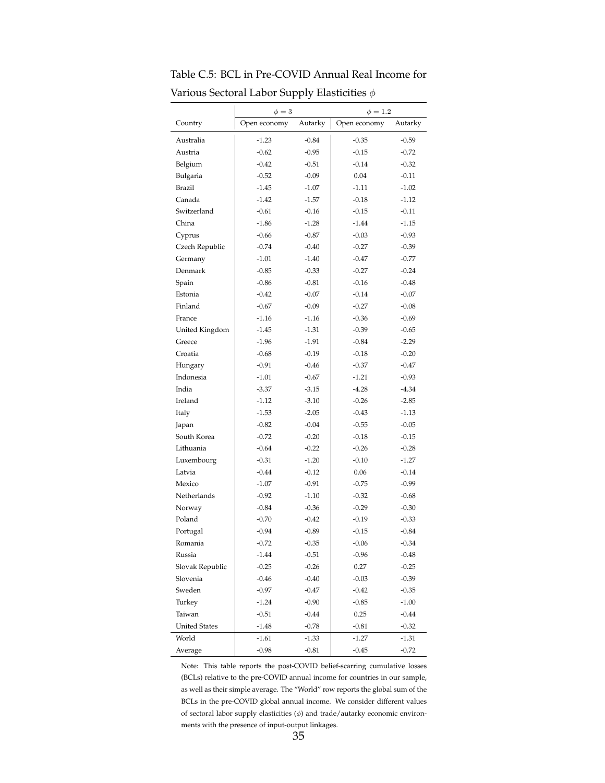|                      | $\phi=3$     |         | $\phi = 1.2$ |         |
|----------------------|--------------|---------|--------------|---------|
| Country              | Open economy | Autarky | Open economy | Autarky |
| Australia            | $-1.23$      | $-0.84$ | $-0.35$      | $-0.59$ |
| Austria              | $-0.62$      | $-0.95$ | $-0.15$      | $-0.72$ |
| Belgium              | $-0.42$      | $-0.51$ | $-0.14$      | $-0.32$ |
| Bulgaria             | $-0.52$      | $-0.09$ | 0.04         | $-0.11$ |
| Brazil               | $-1.45$      | $-1.07$ | $-1.11$      | $-1.02$ |
| Canada               | $-1.42$      | $-1.57$ | $-0.18$      | $-1.12$ |
| Switzerland          | $-0.61$      | $-0.16$ | $-0.15$      | $-0.11$ |
| China                | $-1.86$      | $-1.28$ | $-1.44$      | $-1.15$ |
| Cyprus               | $-0.66$      | $-0.87$ | $-0.03$      | $-0.93$ |
| Czech Republic       | $-0.74$      | $-0.40$ | $-0.27$      | $-0.39$ |
| Germany              | $-1.01$      | $-1.40$ | $-0.47$      | $-0.77$ |
| Denmark              | $-0.85$      | $-0.33$ | $-0.27$      | $-0.24$ |
| Spain                | $-0.86$      | $-0.81$ | $-0.16$      | $-0.48$ |
| Estonia              | $-0.42$      | $-0.07$ | $-0.14$      | $-0.07$ |
| Finland              | $-0.67$      | $-0.09$ | $-0.27$      | $-0.08$ |
| France               | $-1.16$      | $-1.16$ | $-0.36$      | $-0.69$ |
| United Kingdom       | $-1.45$      | $-1.31$ | $-0.39$      | $-0.65$ |
| Greece               | $-1.96$      | $-1.91$ | $-0.84$      | $-2.29$ |
| Croatia              | $-0.68$      | $-0.19$ | $-0.18$      | $-0.20$ |
| Hungary              | $-0.91$      | $-0.46$ | $-0.37$      | $-0.47$ |
| Indonesia            | $-1.01$      | $-0.67$ | $-1.21$      | $-0.93$ |
| India                | $-3.37$      | $-3.15$ | $-4.28$      | $-4.34$ |
| Ireland              | $-1.12$      | $-3.10$ | $-0.26$      | $-2.85$ |
| Italy                | $-1.53$      | $-2.05$ | $-0.43$      | $-1.13$ |
| Japan                | $-0.82$      | $-0.04$ | $-0.55$      | $-0.05$ |
| South Korea          | $-0.72$      | $-0.20$ | $-0.18$      | $-0.15$ |
| Lithuania            | $-0.64$      | $-0.22$ | $-0.26$      | $-0.28$ |
| Luxembourg           | $-0.31$      | $-1.20$ | $-0.10$      | $-1.27$ |
| Latvia               | $-0.44$      | $-0.12$ | 0.06         | $-0.14$ |
| Mexico               | $-1.07$      | $-0.91$ | $-0.75$      | $-0.99$ |
| Netherlands          | $-0.92$      | $-1.10$ | $-0.32$      | $-0.68$ |
| Norway               | $-0.84$      | $-0.36$ | $-0.29$      | $-0.30$ |
| Poland               | $-0.70$      | $-0.42$ | $-0.19$      | $-0.33$ |
| Portugal             | $-0.94$      | $-0.89$ | $-0.15$      | $-0.84$ |
| Romania              | $-0.72$      | $-0.35$ | $-0.06$      | $-0.34$ |
| Russia               | $-1.44$      | $-0.51$ | $-0.96$      | $-0.48$ |
| Slovak Republic      | $-0.25$      | $-0.26$ | 0.27         | $-0.25$ |
| Slovenia             | $-0.46$      | $-0.40$ | $-0.03$      | $-0.39$ |
| Sweden               | $-0.97$      | $-0.47$ | $-0.42$      | $-0.35$ |
| Turkey               | $-1.24$      | $-0.90$ | $-0.85$      | $-1.00$ |
| Taiwan               | $-0.51$      | $-0.44$ | 0.25         | $-0.44$ |
| <b>United States</b> | $-1.48$      | $-0.78$ | $-0.81$      | $-0.32$ |
| World                | $-1.61$      | $-1.33$ | $-1.27$      | $-1.31$ |
| Average              | $-0.98$      | $-0.81$ | $-0.45$      | $-0.72$ |

<span id="page-34-0"></span>Table C.5: BCL in Pre-COVID Annual Real Income for Various Sectoral Labor Supply Elasticities *ϕ*

Note: This table reports the post-COVID belief-scarring cumulative losses (BCLs) relative to the pre-COVID annual income for countries in our sample, as well as their simple average. The "World" row reports the global sum of the BCLs in the pre-COVID global annual income. We consider different values of sectoral labor supply elasticities (*ϕ*) and trade/autarky economic environments with the presence of input-output linkages.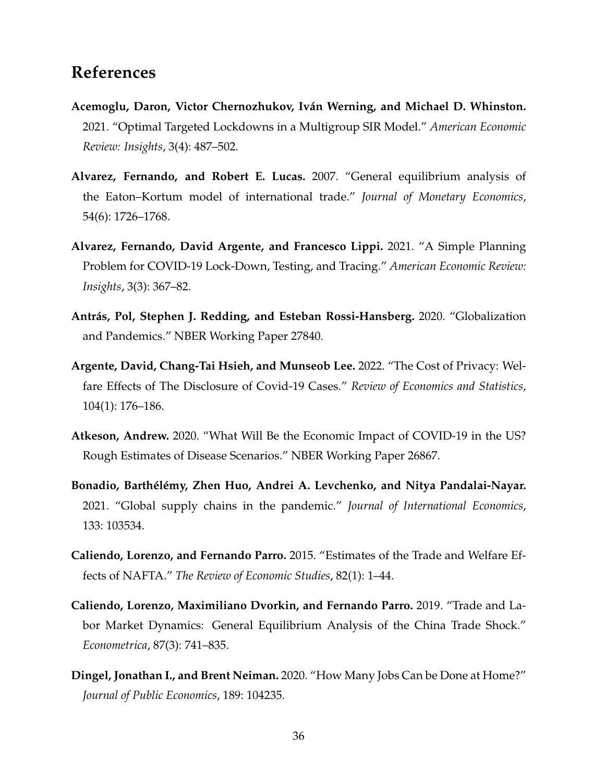### **References**

- <span id="page-35-5"></span>**Acemoglu, Daron, Victor Chernozhukov, Iván Werning, and Michael D. Whinston.** 2021. "Optimal Targeted Lockdowns in a Multigroup SIR Model." *American Economic Review: Insights*, 3(4): 487–502.
- <span id="page-35-9"></span>**Alvarez, Fernando, and Robert E. Lucas.** 2007. "General equilibrium analysis of the Eaton–Kortum model of international trade." *Journal of Monetary Economics*, 54(6): 1726–1768.
- <span id="page-35-6"></span>**Alvarez, Fernando, David Argente, and Francesco Lippi.** 2021. "A Simple Planning Problem for COVID-19 Lock-Down, Testing, and Tracing." *American Economic Review: Insights*, 3(3): 367–82.
- <span id="page-35-3"></span>**Antrás, Pol, Stephen J. Redding, and Esteban Rossi-Hansberg.** 2020. "Globalization and Pandemics." NBER Working Paper 27840.
- <span id="page-35-4"></span>**Argente, David, Chang-Tai Hsieh, and Munseob Lee.** 2022. "The Cost of Privacy: Welfare Effects of The Disclosure of Covid-19 Cases." *Review of Economics and Statistics*, 104(1): 176–186.
- <span id="page-35-7"></span>**Atkeson, Andrew.** 2020. "What Will Be the Economic Impact of COVID-19 in the US? Rough Estimates of Disease Scenarios." NBER Working Paper 26867.
- <span id="page-35-2"></span>**Bonadio, Barthélémy, Zhen Huo, Andrei A. Levchenko, and Nitya Pandalai-Nayar.** 2021. "Global supply chains in the pandemic." *Journal of International Economics*, 133: 103534.
- <span id="page-35-0"></span>**Caliendo, Lorenzo, and Fernando Parro.** 2015. "Estimates of the Trade and Welfare Effects of NAFTA." *The Review of Economic Studies*, 82(1): 1–44.
- <span id="page-35-8"></span>**Caliendo, Lorenzo, Maximiliano Dvorkin, and Fernando Parro.** 2019. "Trade and Labor Market Dynamics: General Equilibrium Analysis of the China Trade Shock." *Econometrica*, 87(3): 741–835.
- <span id="page-35-1"></span>**Dingel, Jonathan I., and Brent Neiman.** 2020. "How Many Jobs Can be Done at Home?" *Journal of Public Economics*, 189: 104235.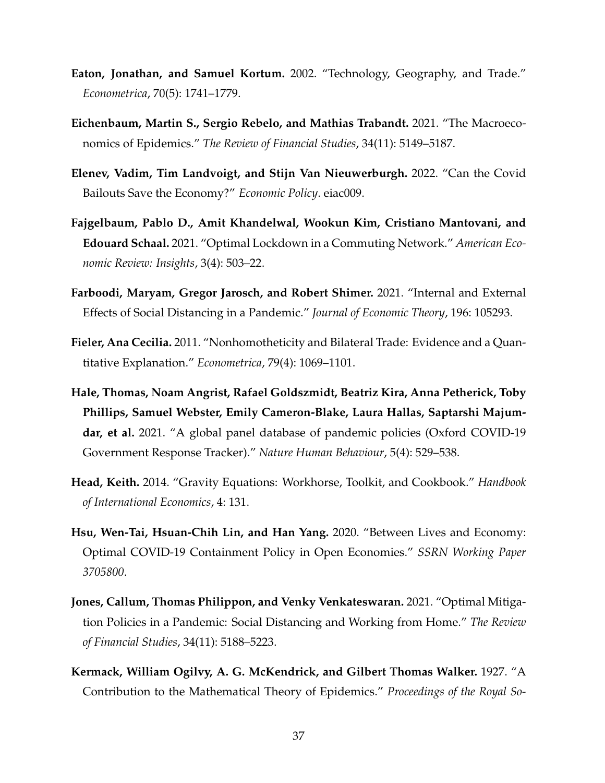- <span id="page-36-0"></span>**Eaton, Jonathan, and Samuel Kortum.** 2002. "Technology, Geography, and Trade." *Econometrica*, 70(5): 1741–1779.
- <span id="page-36-6"></span>**Eichenbaum, Martin S., Sergio Rebelo, and Mathias Trabandt.** 2021. "The Macroeconomics of Epidemics." *The Review of Financial Studies*, 34(11): 5149–5187.
- <span id="page-36-4"></span>**Elenev, Vadim, Tim Landvoigt, and Stijn Van Nieuwerburgh.** 2022. "Can the Covid Bailouts Save the Economy?" *Economic Policy*. eiac009.
- <span id="page-36-5"></span>**Fajgelbaum, Pablo D., Amit Khandelwal, Wookun Kim, Cristiano Mantovani, and Edouard Schaal.** 2021. "Optimal Lockdown in a Commuting Network." *American Economic Review: Insights*, 3(4): 503–22.
- <span id="page-36-7"></span>**Farboodi, Maryam, Gregor Jarosch, and Robert Shimer.** 2021. "Internal and External Effects of Social Distancing in a Pandemic." *Journal of Economic Theory*, 196: 105293.
- <span id="page-36-9"></span>**Fieler, Ana Cecilia.** 2011. "Nonhomotheticity and Bilateral Trade: Evidence and a Quantitative Explanation." *Econometrica*, 79(4): 1069–1101.
- <span id="page-36-1"></span>**Hale, Thomas, Noam Angrist, Rafael Goldszmidt, Beatriz Kira, Anna Petherick, Toby Phillips, Samuel Webster, Emily Cameron-Blake, Laura Hallas, Saptarshi Majumdar, et al.** 2021. "A global panel database of pandemic policies (Oxford COVID-19 Government Response Tracker)." *Nature Human Behaviour*, 5(4): 529–538.
- <span id="page-36-10"></span>**Head, Keith.** 2014. "Gravity Equations: Workhorse, Toolkit, and Cookbook." *Handbook of International Economics*, 4: 131.
- <span id="page-36-2"></span>**Hsu, Wen-Tai, Hsuan-Chih Lin, and Han Yang.** 2020. "Between Lives and Economy: Optimal COVID-19 Containment Policy in Open Economies." *SSRN Working Paper 3705800*.
- <span id="page-36-8"></span>**Jones, Callum, Thomas Philippon, and Venky Venkateswaran.** 2021. "Optimal Mitigation Policies in a Pandemic: Social Distancing and Working from Home." *The Review of Financial Studies*, 34(11): 5188–5223.
- <span id="page-36-3"></span>**Kermack, William Ogilvy, A. G. McKendrick, and Gilbert Thomas Walker.** 1927. "A Contribution to the Mathematical Theory of Epidemics." *Proceedings of the Royal So-*